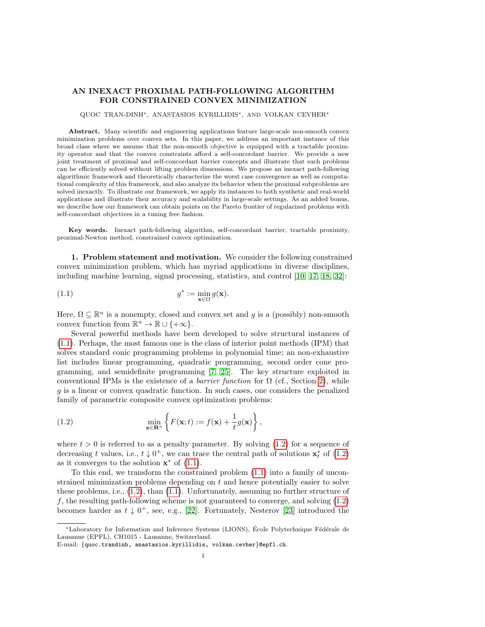# AN INEXACT PROXIMAL PATH-FOLLOWING ALGORITHM FOR CONSTRAINED CONVEX MINIMIZATION

#### QUOC TRAN-DINH∗, ANASTASIOS KYRILLIDIS∗, AND VOLKAN CEVHER<sup>∗</sup>

Abstract. Many scientific and engineering applications feature large-scale non-smooth convex minimization problems over convex sets. In this paper, we address an important instance of this broad class where we assume that the non-smooth objective is equipped with a tractable proximity operator and that the convex constraints afford a self-concordant barrier. We provide a new joint treatment of proximal and self-concordant barrier concepts and illustrate that such problems can be efficiently solved without lifting problem dimensions. We propose an inexact path-following algorithmic framework and theoretically characterize the worst case convergence as well as computational complexity of this framework, and also analyze its behavior when the proximal subproblems are solved inexactly. To illustrate our framework, we apply its instances to both synthetic and real-world applications and illustrate their accuracy and scalability in large-scale settings. As an added bonus, we describe how our framework can obtain points on the Pareto frontier of regularized problems with self-concordant objectives in a tuning free fashion.

Key words. Inexact path-following algorithm, self-concordant barrier, tractable proximity, proximal-Newton method, constrained convex optimization.

1. Problem statement and motivation. We consider the following constrained convex minimization problem, which has myriad applications in diverse disciplines, including machine learning, signal processing, statistics, and control [\[10,](#page-24-0) [17,](#page-24-1) [18,](#page-24-2) [32\]](#page-25-0):

<span id="page-0-0"></span>(1.1) 
$$
g^* := \min_{\mathbf{x} \in \Omega} g(\mathbf{x}).
$$

Here,  $\Omega \subseteq \mathbb{R}^n$  is a nonempty, closed and convex set and g is a (possibly) non-smooth convex function from  $\mathbb{R}^n \to \mathbb{R} \cup \{+\infty\}.$ 

Several powerful methods have been developed to solve structural instances of [\(1.1\)](#page-0-0). Perhaps, the most famous one is the class of interior point methods (IPM) that solves standard conic programming problems in polynomial time; an non-exhaustive list includes linear programming, quadratic programming, second order cone programming, and semidefinite programming [\[7,](#page-24-3) [25\]](#page-25-1). The key structure exploited in conventional IPMs is the existence of a *barrier function* for  $\Omega$  (cf., Section [2\)](#page-2-0), while g is a linear or convex quadratic function. In such cases, one considers the penalized family of parametric composite convex optimization problems:

<span id="page-0-1"></span>(1.2) 
$$
\min_{\mathbf{x} \in \mathbf{R}^n} \left\{ F(\mathbf{x}; t) := f(\mathbf{x}) + \frac{1}{t} g(\mathbf{x}) \right\},
$$

where  $t > 0$  is referred to as a penalty parameter. By solving  $(1.2)$  for a sequence of decreasing t values, i.e.,  $t \downarrow 0^+$ , we can trace the central path of solutions  $\mathbf{x}_t^*$  of  $(1.2)$ as it converges to the solution  $\mathbf{x}^*$  of  $(1.1)$ .

To this end, we transform the constrained problem [\(1.1\)](#page-0-0) into a family of unconstrained minimization problems depending on  $t$  and hence potentially easier to solve these problems, i.e., [\(1.2\)](#page-0-1), than [\(1.1\)](#page-0-0). Unfortunately, assuming no further structure of f, the resulting path-following scheme is not guaranteed to converge, and solving [\(1.2\)](#page-0-1) becomes harder as  $t \downarrow 0^+$ , see, e.g., [\[22\]](#page-24-4). Fortunately, Nesterov [\[23\]](#page-24-5) introduced the

<sup>\*</sup>Laboratory for Information and Inference Systems (LIONS), École Polytechnique Fédérale de Lausanne (EPFL), CH1015 - Lausanne, Switzerland.

E-mail: {quoc.trandinh, anastasios.kyrillidis, volkan.cevher}@epfl.ch.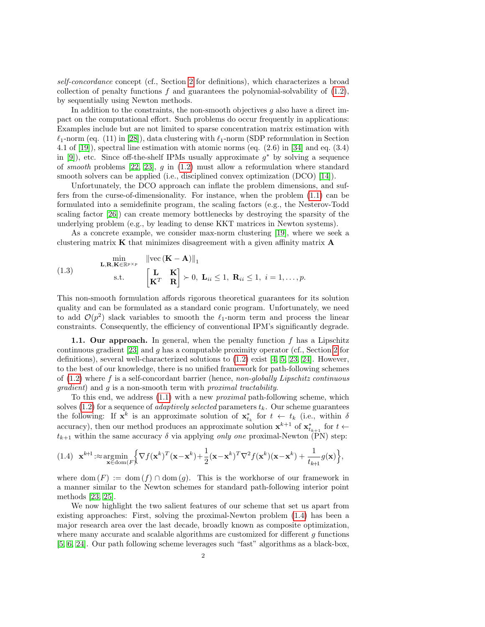self-concordance concept (cf., Section [2](#page-2-0) for definitions), which characterizes a broad collection of penalty functions  $f$  and guarantees the polynomial-solvability of  $(1.2)$ , by sequentially using Newton methods.

In addition to the constraints, the non-smooth objectives  $g$  also have a direct impact on the computational effort. Such problems do occur frequently in applications: Examples include but are not limited to sparse concentration matrix estimation with  $\ell_1$ -norm (eq. (11) in [\[28\]](#page-25-2)), data clustering with  $\ell_1$ -norm (SDP reformulation in Section 4.1 of [\[19\]](#page-24-6)), spectral line estimation with atomic norms (eq. (2.6) in [\[34\]](#page-25-3) and eq. (3.4) in [\[9\]](#page-24-7)), etc. Since off-the-shelf IPMs usually approximate  $g^*$  by solving a sequence of smooth problems [\[22,](#page-24-4) [23\]](#page-24-5), q in  $(1.2)$  must allow a reformulation where standard smooth solvers can be applied (i.e., disciplined convex optimization (DCO) [\[14\]](#page-24-8)).

Unfortunately, the DCO approach can inflate the problem dimensions, and suffers from the curse-of-dimensionality. For instance, when the problem [\(1.1\)](#page-0-0) can be formulated into a semidefinite program, the scaling factors (e.g., the Nesterov-Todd scaling factor [\[26\]](#page-25-4)) can create memory bottlenecks by destroying the sparsity of the underlying problem (e.g., by leading to dense KKT matrices in Newton systems).

As a concrete example, we consider max-norm clustering [\[19\]](#page-24-6), where we seek a clustering matrix K that minimizes disagreement with a given affinity matrix A

<span id="page-1-1"></span>(1.3) 
$$
\lim_{\substack{\mathbf{L}, \mathbf{R}, \mathbf{K} \in \mathbb{R}^{p \times p} \\ \text{s.t.}}} \frac{\|\text{vec}(\mathbf{K} - \mathbf{A})\|_1}{\left[\mathbf{K}^T \mathbf{R}\right] \succ 0, \mathbf{L}_{ii} \leq 1, \mathbf{R}_{ii} \leq 1, \ i = 1, \dots, p.}
$$

This non-smooth formulation affords rigorous theoretical guarantees for its solution quality and can be formulated as a standard conic program. Unfortunately, we need to add  $\mathcal{O}(p^2)$  slack variables to smooth the  $\ell_1$ -norm term and process the linear constraints. Consequently, the efficiency of conventional IPM's significantly degrade.

1.1. Our approach. In general, when the penalty function  $f$  has a Lipschitz continuous gradient [\[23\]](#page-24-5) and g has a computable proximity operator (cf., Section [2](#page-2-0) for definitions), several well-characterized solutions to  $(1.2)$  exist [\[4,](#page-24-9) [5,](#page-24-10) [23,](#page-24-5) [24\]](#page-25-5). However, to the best of our knowledge, there is no unified framework for path-following schemes of  $(1.2)$  where f is a self-concordant barrier (hence, non-globally Lipschitz continuous gradient) and g is a non-smooth term with proximal tractability.

To this end, we address [\(1.1\)](#page-0-0) with a new proximal path-following scheme, which solves [\(1.2\)](#page-0-1) for a sequence of *adaptively selected* parameters  $t_k$ . Our scheme guarantees the following: If  $\mathbf{x}^k$  is an approximate solution of  $\mathbf{x}_{t_k}^*$  for  $t \leftarrow t_k$  (i.e., within  $\delta$ accuracy), then our method produces an approximate solution  $\mathbf{x}^{k+1}$  of  $\mathbf{x}_{t_{k+1}}^*$  for  $t \leftarrow$  $t_{k+1}$  within the same accuracy  $\delta$  via applying only one proximal-Newton (PN) step:

<span id="page-1-0"></span>
$$
(1.4) \mathbf{x}^{k+1} : \approx \underset{\mathbf{x} \in \text{dom}(F)}{\text{argmin}} \Big\{\nabla f(\mathbf{x}^k)^T(\mathbf{x} - \mathbf{x}^k) + \frac{1}{2}(\mathbf{x} - \mathbf{x}^k)^T \nabla^2 f(\mathbf{x}^k)(\mathbf{x} - \mathbf{x}^k) + \frac{1}{t_{k+1}} g(\mathbf{x})\Big\},
$$

where dom  $(F) := \text{dom}(f) \cap \text{dom}(g)$ . This is the workhorse of our framework in a manner similar to the Newton schemes for standard path-following interior point methods [\[23,](#page-24-5) [25\]](#page-25-1).

We now highlight the two salient features of our scheme that set us apart from existing approaches: First, solving the proximal-Newton problem [\(1.4\)](#page-1-0) has been a major research area over the last decade, broadly known as composite optimization, where many accurate and scalable algorithms are customized for different  $g$  functions [\[5,](#page-24-10) [6,](#page-24-11) [24\]](#page-25-5). Our path following scheme leverages such "fast" algorithms as a black-box,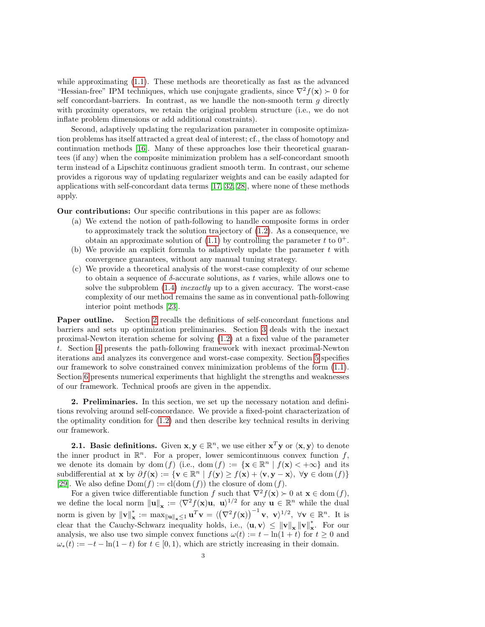while approximating [\(1.1\)](#page-0-0). These methods are theoretically as fast as the advanced "Hessian-free" IPM techniques, which use conjugate gradients, since  $\nabla^2 f(\mathbf{x}) \succ 0$  for self concordant-barriers. In contrast, as we handle the non-smooth term  $g$  directly with proximity operators, we retain the original problem structure (i.e., we do not inflate problem dimensions or add additional constraints).

Second, adaptively updating the regularization parameter in composite optimization problems has itself attracted a great deal of interest; cf., the class of homotopy and continuation methods [\[16\]](#page-24-12). Many of these approaches lose their theoretical guarantees (if any) when the composite minimization problem has a self-concordant smooth term instead of a Lipschitz continuous gradient smooth term. In contrast, our scheme provides a rigorous way of updating regularizer weights and can be easily adapted for applications with self-concordant data terms [\[17,](#page-24-1) [32,](#page-25-0) [28\]](#page-25-2), where none of these methods apply.

Our contributions: Our specific contributions in this paper are as follows:

- (a) We extend the notion of path-following to handle composite forms in order to approximately track the solution trajectory of [\(1.2\)](#page-0-1). As a consequence, we obtain an approximate solution of  $(1.1)$  by controlling the parameter t to  $0^+$ .
- (b) We provide an explicit formula to adaptively update the parameter  $t$  with convergence guarantees, without any manual tuning strategy.
- (c) We provide a theoretical analysis of the worst-case complexity of our scheme to obtain a sequence of  $\delta$ -accurate solutions, as t varies, while allows one to solve the subproblem  $(1.4)$  *inexactly* up to a given accuracy. The worst-case complexity of our method remains the same as in conventional path-following interior point methods [\[23\]](#page-24-5).

Paper outline. Section [2](#page-2-0) recalls the definitions of self-concordant functions and barriers and sets up optimization preliminaries. Section [3](#page-4-0) deals with the inexact proximal-Newton iteration scheme for solving [\(1.2\)](#page-0-1) at a fixed value of the parameter t. Section [4](#page-7-0) presents the path-following framework with inexact proximal-Newton iterations and analyzes its convergence and worst-case compexity. Section [5](#page-11-0) specifies our framework to solve constrained convex minimization problems of the form [\(1.1\)](#page-0-0). Section [6](#page-12-0) presents numerical experiments that highlight the strengths and weaknesses of our framework. Technical proofs are given in the appendix.

<span id="page-2-0"></span>2. Preliminaries. In this section, we set up the necessary notation and definitions revolving around self-concordance. We provide a fixed-point characterization of the optimality condition for [\(1.2\)](#page-0-1) and then describe key technical results in deriving our framework.

**2.1.** Basic definitions. Given  $x, y \in \mathbb{R}^n$ , we use either  $x^T y$  or  $\langle x, y \rangle$  to denote the inner product in  $\mathbb{R}^n$ . For a proper, lower semicontinuous convex function f, we denote its domain by dom (f) (i.e., dom (f) := { $\mathbf{x} \in \mathbb{R}^n | f(\mathbf{x}) < +\infty$ } and its subdifferential at  $\mathbf{x}$  by  $\partial f(\mathbf{x}) := {\mathbf{v} \in \mathbb{R}^n \mid f(\mathbf{y}) \ge f(\mathbf{x}) + \langle \mathbf{v}, \mathbf{y} - \mathbf{x} \rangle, \forall \mathbf{y} \in \text{dom}(f)}$ [\[29\]](#page-25-6). We also define  $Dom(f) := cl(dom(f))$  the closure of dom  $(f)$ .

For a given twice differentiable function f such that  $\nabla^2 f(\mathbf{x}) \succ 0$  at  $\mathbf{x} \in \text{dom}(f)$ , we define the local norm  $\|\mathbf{u}\|_{\mathbf{x}} := \langle \nabla^2 f(\mathbf{x})\mathbf{u}, \mathbf{u} \rangle^{1/2}$  for any  $\mathbf{u} \in \mathbb{R}^n$  while the dual norm is given by  $\|\mathbf{v}\|_{\mathbf{x}}^*$  $\mathbf{x}^* := \max_{\|\mathbf{u}\|_{\mathbf{x}} \leq 1} \mathbf{u}^T \mathbf{v} = \langle (\nabla^2 f(\mathbf{x}))^{-1} \mathbf{v}, \mathbf{v} \rangle^{1/2}, \ \forall \mathbf{v} \in \mathbb{R}^n.$  It is clear that the Cauchy-Schwarz inequality holds, i.e.,  $\langle \mathbf{u}, \mathbf{v} \rangle \leq ||\mathbf{v}||_{\mathbf{x}} ||\mathbf{v}||_{\mathbf{x}}^*$ x . For our analysis, we also use two simple convex functions  $\omega(t) := t - \ln(1+t)$  for  $t \geq 0$  and  $\omega_*(t) := -t - \ln(1-t)$  for  $t \in [0,1)$ , which are strictly increasing in their domain.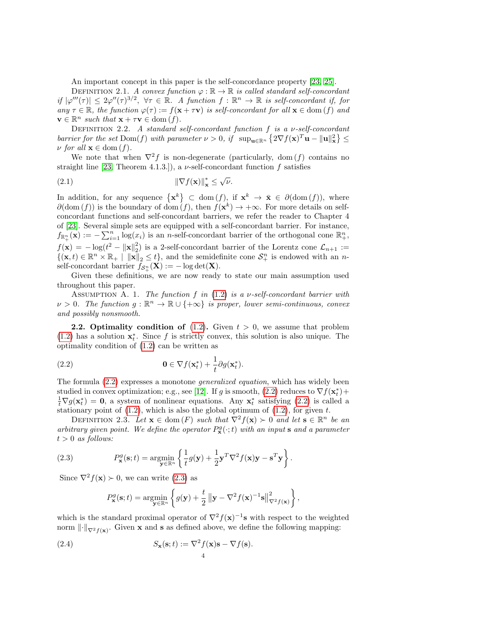An important concept in this paper is the self-concordance property [\[23,](#page-24-5) [25\]](#page-25-1).

DEFINITION 2.1. A convex function  $\varphi : \mathbb{R} \to \mathbb{R}$  is called standard self-concordant if  $|\varphi'''(\tau)| \leq 2\varphi''(\tau)^{3/2}$ ,  $\forall \tau \in \mathbb{R}$ . A function  $f : \mathbb{R}^n \to \mathbb{R}$  is self-concordant if, for any  $\tau \in \mathbb{R}$ , the function  $\varphi(\tau) := f(\mathbf{x} + \tau \mathbf{v})$  is self-concordant for all  $\mathbf{x} \in \text{dom}(f)$  and  $\mathbf{v} \in \mathbb{R}^n$  such that  $\mathbf{x} + \tau \mathbf{v} \in \text{dom}(f)$ .

DEFINITION 2.2. A standard self-concordant function f is a  $\nu$ -self-concordant barrier for the set  $\text{Dom}(f)$  with parameter  $\nu > 0$ , if  $\sup_{\mathbf{u} \in \mathbb{R}^n} \{2\nabla f(\mathbf{x})^T \mathbf{u} - ||\mathbf{u}||^2_{\mathbf{x}}\} \leq$  $\nu$  for all  $\mathbf{x} \in \text{dom}(f)$ .

We note that when  $\nabla^2 f$  is non-degenerate (particularly, dom (f) contains no straight line [\[23,](#page-24-5) Theorem 4.1.3.]), a  $\nu$ -self-concordant function f satisfies

<span id="page-3-4"></span>
$$
\|\nabla f(\mathbf{x})\|_{\mathbf{x}}^* \le \sqrt{\nu}.
$$

In addition, for any sequence  $\{x^k\} \subset \text{dom}(f)$ , if  $x^k \to \bar{x} \in \partial(\text{dom}(f))$ , where  $\partial(\text{dom}(f))$  is the boundary of dom  $(f)$ , then  $f(\mathbf{x}^k) \to +\infty$ . For more details on selfconcordant functions and self-concordant barriers, we refer the reader to Chapter 4 of [\[23\]](#page-24-5). Several simple sets are equipped with a self-concordant barrier. For instance,  $f_{\mathbb{R}^n_+}(\mathbf{x}) := -\sum_{i=1}^n \log(x_i)$  is an n-self-concordant barrier of the orthogonal cone  $\mathbb{R}^n_+$ ,  $f(\mathbf{x}) = -\log(t^2 - ||\mathbf{x}||_2^2)$  is a 2-self-concordant barrier of the Lorentz cone  $\mathcal{L}_{n+1} :=$  $\{(\mathbf{x},t)\in\mathbb{R}^n\times\mathbb{R}_+ \mid \|\mathbf{x}\|_2\leq t\}$ , and the semidefinite cone  $\mathcal{S}_+^n$  is endowed with an nself-concordant barrier  $f_{\mathcal{S}_{+}^{n}}(\mathbf{X}) := -\log \det(\mathbf{X}).$ 

Given these definitions, we are now ready to state our main assumption used throughout this paper.

ASSUMPTION A. 1. The function f in  $(1.2)$  is a v-self-concordant barrier with  $\nu > 0$ . The function  $g : \mathbb{R}^n \to \mathbb{R} \cup \{+\infty\}$  is proper, lower semi-continuous, convex and possibly nonsmooth.

**2.2.** Optimality condition of  $(1.2)$ . Given  $t > 0$ , we assume that problem [\(1.2\)](#page-0-1) has a solution  $\mathbf{x}_t^*$ . Since f is strictly convex, this solution is also unique. The optimality condition of [\(1.2\)](#page-0-1) can be written as

<span id="page-3-0"></span>(2.2) 
$$
\mathbf{0} \in \nabla f(\mathbf{x}_t^*) + \frac{1}{t} \partial g(\mathbf{x}_t^*).
$$

The formula [\(2.2\)](#page-3-0) expresses a monotone generalized equation, which has widely been studied in convex optimization; e.g., see [\[12\]](#page-24-13). If g is smooth,  $(2.2)$  reduces to  $\nabla f(\mathbf{x}_{t}^{*}) +$  $\frac{1}{t} \nabla g(\mathbf{x}_t^*) = \mathbf{0}$ , a system of nonlinear equations. Any  $\mathbf{x}_t^*$  satisfying [\(2.2\)](#page-3-0) is called a stationary point of  $(1.2)$ , which is also the global optimum of  $(1.2)$ , for given t.

<span id="page-3-1"></span>DEFINITION 2.3. Let  $\mathbf{x} \in \text{dom}(F)$  such that  $\nabla^2 f(\mathbf{x}) \succ 0$  and let  $\mathbf{s} \in \mathbb{R}^n$  be an arbitrary given point. We define the operator  $P_{\mathbf{x}}^g(\cdot;t)$  with an input s and a parameter  $t > 0$  as follows:

(2.3) 
$$
P_{\mathbf{x}}^{g}(\mathbf{s};t) = \underset{\mathbf{y} \in \mathbb{R}^{n}}{\operatorname{argmin}} \left\{ \frac{1}{t} g(\mathbf{y}) + \frac{1}{2} \mathbf{y}^{T} \nabla^{2} f(\mathbf{x}) \mathbf{y} - \mathbf{s}^{T} \mathbf{y} \right\}.
$$

Since  $\nabla^2 f(\mathbf{x}) \succ 0$ , we can write [\(2.3\)](#page-3-1) as

<span id="page-3-3"></span><span id="page-3-2"></span>
$$
P_{\mathbf{x}}^{g}(\mathbf{s};t) = \underset{\mathbf{y} \in \mathbb{R}^{n}}{\operatorname{argmin}} \left\{ g(\mathbf{y}) + \frac{t}{2} \left\| \mathbf{y} - \nabla^{2} f(\mathbf{x})^{-1} \mathbf{s} \right\|_{\nabla^{2} f(\mathbf{x})}^{2} \right\},\,
$$

which is the standard proximal operator of  $\nabla^2 f(\mathbf{x})^{-1}$ s with respect to the weighted norm  $\|\cdot\|_{\nabla^2 f(\mathbf{x})}$ . Given **x** and **s** as defined above, we define the following mapping:

(2.4) 
$$
S_{\mathbf{x}}(\mathbf{s};t) := \nabla^2 f(\mathbf{x}) \mathbf{s} - \nabla f(\mathbf{s}).
$$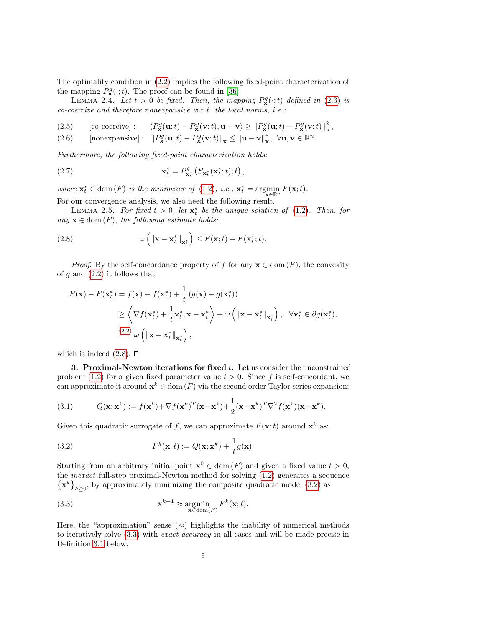The optimality condition in [\(2.2\)](#page-3-0) implies the following fixed-point characterization of the mapping  $P_{\mathbf{x}}^g(\cdot;t)$ . The proof can be found in [\[36\]](#page-25-7).

LEMMA 2.4. Let  $t > 0$  be fixed. Then, the mapping  $P_{\mathbf{x}}^g(\cdot;t)$  defined in [\(2.3\)](#page-3-2) is co-coercive and therefore nonexpansive w.r.t. the local norms, i.e.:

- $[co\text{-}coercive]$ : (2.5) [co-coercive]:  $\langle P_{\mathbf{x}}^g(\mathbf{u};t) - P_{\mathbf{x}}^g(\mathbf{v};t), \mathbf{u} - \mathbf{v} \rangle \geq ||P_{\mathbf{x}}^g(\mathbf{u};t) - P_{\mathbf{x}}^g(\mathbf{v};t)||_{\mathbf{x}}^2$ ,
- <span id="page-4-6"></span>[nonexpansive] :  $||P_{\mathbf{x}}^g(\mathbf{u};t) - P_{\mathbf{x}}^g(\mathbf{v};t)||_{\mathbf{x}} \le ||\mathbf{u} - \mathbf{v}||_{\mathbf{x}}^*$ (2.6) [nonexpansive]:  $||P_{\mathbf{x}}^g(\mathbf{u};t) - P_{\mathbf{x}}^g(\mathbf{v};t)||_{\mathbf{x}} \le ||\mathbf{u} - \mathbf{v}||_{\mathbf{x}}^*, \ \forall \mathbf{u}, \mathbf{v} \in \mathbb{R}^n$ .

Furthermore, the following fixed-point characterization holds:

<span id="page-4-5"></span>(2.7) 
$$
\mathbf{x}_t^* = P_{\mathbf{x}_t^*}^g \left( S_{\mathbf{x}_t^*}(\mathbf{x}_t^*; t); t \right),
$$

<span id="page-4-4"></span>where  $\mathbf{x}_t^* \in \text{dom}(F)$  is the minimizer of [\(1.2\)](#page-0-1), i.e.,  $\mathbf{x}_t^* = \underset{\mathbf{x} \in \mathbb{R}^n}{\arg\min} F(\mathbf{x}; t)$ .

For our convergence analysis, we also need the following result.

LEMMA 2.5. For fixed  $t > 0$ , let  $\mathbf{x}_t^*$  be the unique solution of [\(1.2\)](#page-0-1). Then, for any  $\mathbf{x} \in \text{dom}(F)$ , the following estimate holds:

<span id="page-4-1"></span>(2.8) 
$$
\omega\left(\left\|\mathbf{x}-\mathbf{x}_{t}^{*}\right\|_{\mathbf{x}_{t}^{*}}\right) \leq F(\mathbf{x}; t) - F(\mathbf{x}_{t}^{*}; t).
$$

*Proof.* By the self-concordance property of f for any  $\mathbf{x} \in \text{dom}(F)$ , the convexity of  $g$  and  $(2.2)$  it follows that

$$
F(\mathbf{x}) - F(\mathbf{x}_t^*) = f(\mathbf{x}) - f(\mathbf{x}_t^*) + \frac{1}{t} (g(\mathbf{x}) - g(\mathbf{x}_t^*))
$$
  
\n
$$
\geq \left\langle \nabla f(\mathbf{x}_t^*) + \frac{1}{t} \mathbf{v}_t^*, \mathbf{x} - \mathbf{x}_t^* \right\rangle + \omega \left( \|\mathbf{x} - \mathbf{x}_t^*\|_{\mathbf{x}_t^*} \right), \quad \forall \mathbf{v}_t^* \in \partial g(\mathbf{x}_t^*),
$$
  
\n
$$
\stackrel{(2.2)}{=} \omega \left( \|\mathbf{x} - \mathbf{x}_t^*\|_{\mathbf{x}_t^*} \right),
$$

which is indeed  $(2.8)$ .  $\Box$ 

<span id="page-4-0"></span>**3. Proximal-Newton iterations for fixed t.** Let us consider the unconstrained problem [\(1.2\)](#page-0-1) for a given fixed parameter value  $t > 0$ . Since f is self-concordant, we can approximate it around  $\mathbf{x}^k \in \text{dom}(F)$  via the second order Taylor series expansion:

(3.1) 
$$
Q(\mathbf{x}; \mathbf{x}^k) := f(\mathbf{x}^k) + \nabla f(\mathbf{x}^k)^T (\mathbf{x} - \mathbf{x}^k) + \frac{1}{2} (\mathbf{x} - \mathbf{x}^k)^T \nabla^2 f(\mathbf{x}^k) (\mathbf{x} - \mathbf{x}^k).
$$

Given this quadratic surrogate of f, we can approximate  $F(\mathbf{x};t)$  around  $\mathbf{x}^k$  as:

<span id="page-4-2"></span>(3.2) 
$$
F^{k}(\mathbf{x};t) := Q(\mathbf{x};\mathbf{x}^{k}) + \frac{1}{t}g(\mathbf{x}).
$$

Starting from an arbitrary initial point  $\mathbf{x}^0 \in \text{dom}(F)$  and given a fixed value  $t > 0$ , the inexact full-step proximal-Newton method for solving [\(1.2\)](#page-0-1) generates a sequence  $\{\mathbf x^k\}_{k\geq 0}$ , by approximately minimizing the composite quadratic model [\(3.2\)](#page-4-2) as

<span id="page-4-3"></span>(3.3) 
$$
\mathbf{x}^{k+1} \approx \operatorname*{argmin}_{\mathbf{x} \in \text{dom}(F)} F^k(\mathbf{x}; t).
$$

Here, the "approximation" sense ( $\approx$ ) highlights the inability of numerical methods to iteratively solve  $(3.3)$  with *exact accuracy* in all cases and will be made precise in Definition [3.1](#page-5-0) below.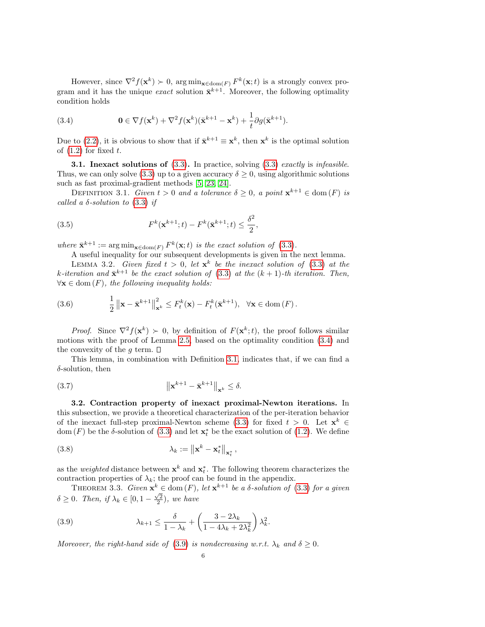However, since  $\nabla^2 f(\mathbf{x}^k) \succ 0$ , arg  $\min_{\mathbf{x} \in \text{dom}(F)} F^k(\mathbf{x}; t)$  is a strongly convex program and it has the unique *exact* solution  $\bar{\mathbf{x}}^{k+1}$ . Moreover, the following optimality condition holds

<span id="page-5-1"></span>(3.4) 
$$
\mathbf{0} \in \nabla f(\mathbf{x}^k) + \nabla^2 f(\mathbf{x}^k)(\bar{\mathbf{x}}^{k+1} - \mathbf{x}^k) + \frac{1}{t} \partial g(\bar{\mathbf{x}}^{k+1}).
$$

Due to [\(2.2\)](#page-3-0), it is obvious to show that if  $\bar{\mathbf{x}}^{k+1} \equiv \mathbf{x}^k$ , then  $\mathbf{x}^k$  is the optimal solution of  $(1.2)$  for fixed t.

**3.1. Inexact solutions of**  $(3.3)$ . In practice, solving  $(3.3)$  *exactly is infeasible.* Thus, we can only solve [\(3.3\)](#page-4-3) up to a given accuracy  $\delta \geq 0$ , using algorithmic solutions such as fast proximal-gradient methods [\[5,](#page-24-10) [23,](#page-24-5) [24\]](#page-25-5).

<span id="page-5-0"></span>DEFINITION 3.1. Given  $t > 0$  and a tolerance  $\delta \geq 0$ , a point  $\mathbf{x}^{k+1} \in \text{dom}(F)$  is called a  $\delta$ -solution to [\(3.3\)](#page-4-3) if

(3.5) 
$$
F^{k}(\mathbf{x}^{k+1};t) - F^{k}(\bar{\mathbf{x}}^{k+1};t) \leq \frac{\delta^{2}}{2},
$$

where  $\bar{\mathbf{x}}^{k+1} := \arg \min_{\mathbf{x} \in \text{dom}(F)} F^k(\mathbf{x}; t)$  is the exact solution of [\(3.3\)](#page-4-3).

<span id="page-5-4"></span>A useful inequality for our subsequent developments is given in the next lemma.

LEMMA 3.2. Given fixed  $t > 0$ , let  $\mathbf{x}^k$  be the inexact solution of [\(3.3\)](#page-4-3) at the k-iteration and  $\bar{\mathbf{x}}^{k+1}$  be the exact solution of [\(3.3\)](#page-4-3) at the  $(k+1)$ -th iteration. Then,  $\forall x \in \text{dom}(F)$ , the following inequality holds:

<span id="page-5-6"></span>(3.6) 
$$
\frac{1}{2} \left\| \mathbf{x} - \bar{\mathbf{x}}^{k+1} \right\|_{\mathbf{x}^k}^2 \leq F_t^k(\mathbf{x}) - F_t^k(\bar{\mathbf{x}}^{k+1}), \quad \forall \mathbf{x} \in \text{dom}(F).
$$

*Proof.* Since  $\nabla^2 f(\mathbf{x}^k) \succ 0$ , by definition of  $F(\mathbf{x}^k; t)$ , the proof follows similar motions with the proof of Lemma [2.5,](#page-4-4) based on the optimality condition [\(3.4\)](#page-5-1) and the convexity of the g term.  $\square$ 

This lemma, in combination with Definition [3.1,](#page-5-0) indicates that, if we can find a  $\delta$ -solution, then

<span id="page-5-5"></span>
$$
||\mathbf{x}^{k+1} - \bar{\mathbf{x}}^{k+1}||_{\mathbf{x}^k} \le \delta.
$$

3.2. Contraction property of inexact proximal-Newton iterations. In this subsection, we provide a theoretical characterization of the per-iteration behavior of the inexact full-step proximal-Newton scheme [\(3.3\)](#page-4-3) for fixed  $t > 0$ . Let  $\mathbf{x}^k \in$ dom  $(F)$  be the  $\delta$ -solution of [\(3.3\)](#page-4-3) and let  $\mathbf{x}_{t}^{*}$  be the exact solution of [\(1.2\)](#page-0-1). We define

(3.8) 
$$
\lambda_k := \left\| \mathbf{x}^k - \mathbf{x}_t^* \right\|_{\mathbf{x}_t^*},
$$

as the *weighted* distance between  $\mathbf{x}^k$  and  $\mathbf{x}_t^*$ . The following theorem characterizes the contraction properties of  $\lambda_k$ ; the proof can be found in the appendix.

<span id="page-5-3"></span>THEOREM 3.3. Given  $\mathbf{x}^k \in \text{dom}(F)$ , let  $\mathbf{x}^{k+1}$  be a  $\delta$ -solution of [\(3.3\)](#page-4-3) for a given  $\delta \geq 0$ . Then, if  $\lambda_k \in [0, 1 - \frac{\sqrt{2}}{2})$ , we have

<span id="page-5-2"></span>(3.9) 
$$
\lambda_{k+1} \leq \frac{\delta}{1 - \lambda_k} + \left(\frac{3 - 2\lambda_k}{1 - 4\lambda_k + 2\lambda_k^2}\right)\lambda_k^2.
$$

Moreover, the right-hand side of [\(3.9\)](#page-5-2) is nondecreasing w.r.t.  $\lambda_k$  and  $\delta \geq 0$ .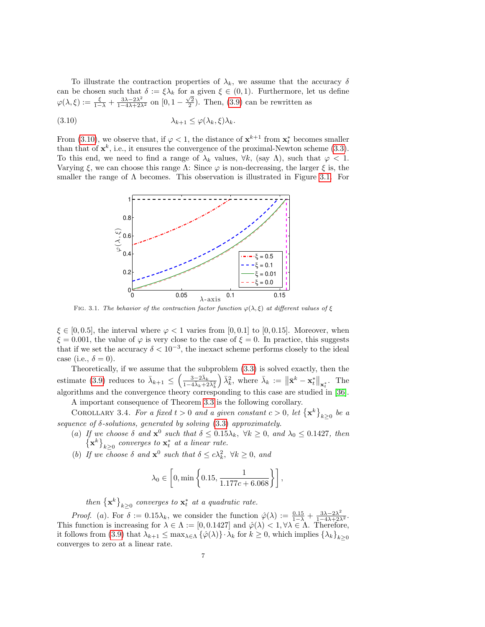To illustrate the contraction properties of  $\lambda_k$ , we assume that the accuracy  $\delta$ can be chosen such that  $\delta := \xi \lambda_k$  for a given  $\xi \in (0,1)$ . Furthermore, let us define  $\varphi(\lambda,\xi) := \frac{\xi}{1-\lambda} + \frac{3\lambda-2\lambda^2}{1-4\lambda+2\lambda^2}$  on  $[0, 1-\frac{\sqrt{2}}{2})$ . Then, [\(3.9\)](#page-5-2) can be rewritten as

$$
\lambda_{k+1} \leq \varphi(\lambda_k, \xi) \lambda_k.
$$

From [\(3.10\)](#page-6-0), we observe that, if  $\varphi < 1$ , the distance of  $\mathbf{x}^{k+1}$  from  $\mathbf{x}_t^*$  becomes smaller than that of  $\mathbf{x}^k$ , i.e., it ensures the convergence of the proximal-Newton scheme [\(3.3\)](#page-4-3). To this end, we need to find a range of  $\lambda_k$  values,  $\forall k$ , (say  $\Lambda$ ), such that  $\varphi$  < 1. Varying  $\xi$ , we can choose this range  $\Lambda$ : Since  $\varphi$  is non-decreasing, the larger  $\xi$  is, the smaller the range of  $\Lambda$  becomes. This observation is illustrated in Figure [3.1.](#page-6-1) For

<span id="page-6-0"></span>

<span id="page-6-1"></span>FIG. 3.1. The behavior of the contraction factor function  $\varphi(\lambda, \xi)$  at different values of  $\xi$ 

 $\xi \in [0, 0.5]$ , the interval where  $\varphi < 1$  varies from [0, 0.1] to [0, 0.15]. Moreover, when  $\xi = 0.001$ , the value of  $\varphi$  is very close to the case of  $\xi = 0$ . In practice, this suggests that if we set the accuracy  $\delta < 10^{-3}$ , the inexact scheme performs closely to the ideal case (i.e.,  $\delta = 0$ ).

Theoretically, if we assume that the subproblem [\(3.3\)](#page-4-3) is solved exactly, then the estimate [\(3.9\)](#page-5-2) reduces to  $\bar{\lambda}_{k+1} \leq \left(\frac{3-2\bar{\lambda}_k}{1-4\bar{\lambda}_k+2\bar{\lambda}_k}\right)$  $\overline{1-4\bar{\lambda}_k+2\bar{\lambda}_k^2}$  $\bar{\lambda}_k$ , where  $\bar{\lambda}_k := \|\bar{\mathbf{x}}^k - \mathbf{x}_t^*\|_{\mathbf{x}_t^*}$ . The algorithms and the convergence theory corresponding to this case are studied in [\[36\]](#page-25-7).

A important consequence of Theorem [3.3](#page-5-3) is the following corollary.

<span id="page-6-2"></span>COROLLARY 3.4. For a fixed  $t > 0$  and a given constant  $c > 0$ , let  $\{x^k\}_{k \geq 0}$  be a sequence of  $\delta$ -solutions, generated by solving  $(3.3)$  approximately.

- (a) If we choose  $\delta$  and  $\mathbf{x}^0$  such that  $\delta \leq 0.15\lambda_k$ ,  $\forall k \geq 0$ , and  $\lambda_0 \leq 0.1427$ , then  $\left\{\mathbf{x}^k\right\}_{k\geq 0}$  converges to  $\mathbf{x}^*_t$  at a linear rate.
- (b) If we choose  $\delta$  and  $\mathbf{x}^0$  such that  $\delta \leq c\lambda_k^2$ ,  $\forall k \geq 0$ , and

$$
\lambda_0 \in \left[0, \min\left\{0.15, \frac{1}{1.177c + 6.068}\right\}\right],
$$

then  $\{x^k\}_{k\geq 0}$  converges to  $x^*_t$  at a quadratic rate.

*Proof.* (a). For  $\delta := 0.15\lambda_k$ , we consider the function  $\hat{\varphi}(\lambda) := \frac{0.15}{1-\lambda} + \frac{3\lambda - 2\lambda^2}{1-4\lambda + 2\lambda^2}$ . This function is increasing for  $\lambda \in \Lambda := [0, 0.1427]$  and  $\hat{\varphi}(\lambda) < 1, \forall \lambda \in \Lambda$ . Therefore, it follows from [\(3.9\)](#page-5-2) that  $\lambda_{k+1} \leq \max_{\lambda \in \Lambda} {\{\hat{\varphi}(\lambda)\}\cdot \lambda_k}$  for  $k \geq 0$ , which implies  $\{\lambda_k\}_{k>0}$ converges to zero at a linear rate.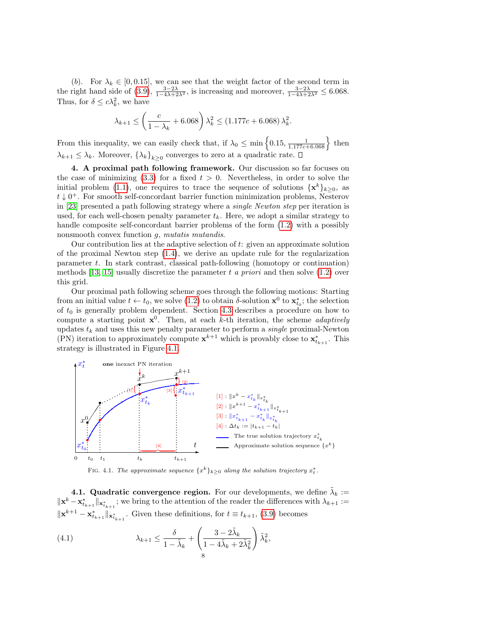(b). For  $\lambda_k \in [0, 0.15]$ , we can see that the weight factor of the second term in the right hand side of [\(3.9\)](#page-5-2),  $\frac{3-2\lambda}{1-4\lambda+2\lambda^2}$ , is increasing and moreover,  $\frac{3-2\lambda}{1-4\lambda+2\lambda^2} \leq 6.068$ . Thus, for  $\delta \leq c\lambda_k^2$ , we have

$$
\lambda_{k+1} \le \left(\frac{c}{1 - \lambda_k} + 6.068\right) \lambda_k^2 \le (1.177c + 6.068) \lambda_k^2.
$$

From this inequality, we can easily check that, if  $\lambda_0 \le \min\left\{0.15, \frac{1}{1.177c + 6.068}\right\}$  then  $\lambda_{k+1} \leq \lambda_k$ . Moreover,  $\{\lambda_k\}_{k\geq 0}$  converges to zero at a quadratic rate.

<span id="page-7-0"></span>4. A proximal path following framework. Our discussion so far focuses on the case of minimizing  $(3.3)$  for a fixed  $t > 0$ . Nevertheless, in order to solve the initial problem [\(1.1\)](#page-0-0), one requires to trace the sequence of solutions  $\{x^k\}_{k\geq 0}$ , as  $t \downarrow 0^+$ . For smooth self-concordant barrier function minimization problems, Nesterov in [\[23\]](#page-24-5) presented a path following strategy where a single Newton step per iteration is used, for each well-chosen penalty parameter  $t_k$ . Here, we adopt a similar strategy to handle composite self-concordant barrier problems of the form [\(1.2\)](#page-0-1) with a possibly nonsmooth convex function g, mutatis mutandis.

Our contribution lies at the adaptive selection of t: given an approximate solution of the proximal Newton step [\(1.4\)](#page-1-0), we derive an update rule for the regularization parameter  $t$ . In stark contrast, classical path-following (homotopy or continuation) methods [\[13,](#page-24-14) [15\]](#page-24-15) usually discretize the parameter t a priori and then solve  $(1.2)$  over this grid.

Our proximal path following scheme goes through the following motions: Starting from an initial value  $t \leftarrow t_0$ , we solve [\(1.2\)](#page-0-1) to obtain  $\delta$ -solution  $\mathbf{x}^0$  to  $\mathbf{x}_{t_0}^*$ ; the selection of  $t_0$  is generally problem dependent. Section [4.3](#page-9-0) describes a procedure on how to compute a starting point  $x^0$ . Then, at each k-th iteration, the scheme *adaptively* updates  $t_k$  and uses this new penalty parameter to perform a *single* proximal-Newton (PN) iteration to approximately compute  $\mathbf{x}^{k+1}$  which is provably close to  $\mathbf{x}_{t_{k+1}}^*$ . This strategy is illustrated in Figure [4.1.](#page-6-1)



FIG. 4.1. The approximate sequence  $\{x^k\}_{k\geq 0}$  along the solution trajectory  $x_t^*$ .

**4.1. Quadratic convergence region.** For our developments, we define  $\tilde{\lambda}_k$  :=  $\|\mathbf{x}^k - \mathbf{x}^*_{t_{k+1}}\|_{\mathbf{x}^*_{t_{k+1}}}$ ; we bring to the attention of the reader the differences with  $\lambda_{k+1} :=$  $\|\mathbf{x}^{k+1} - \mathbf{x}^*_{t_{k+1}}\|_{\mathbf{x}^*_{t_{k+1}}}$ . Given these definitions, for  $t \equiv t_{k+1}$ , [\(3.9\)](#page-5-2) becomes

<span id="page-7-1"></span>(4.1) 
$$
\lambda_{k+1} \leq \frac{\delta}{1 - \tilde{\lambda}_k} + \left(\frac{3 - 2\tilde{\lambda}_k}{1 - 4\tilde{\lambda}_k + 2\tilde{\lambda}_k^2}\right) \tilde{\lambda}_k^2,
$$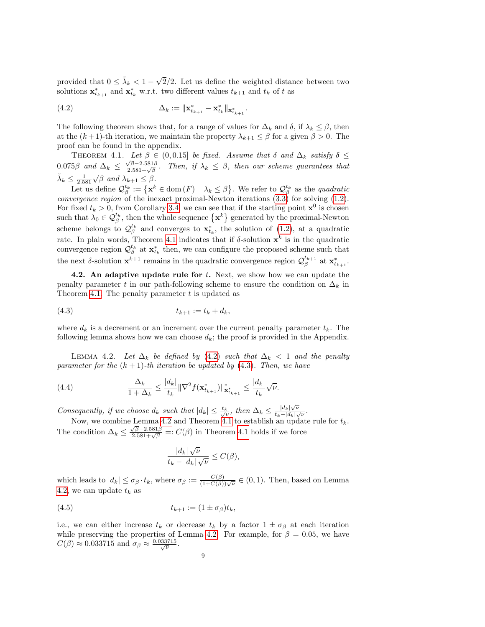provided that  $0 \leq \tilde{\lambda}_k < 1$  – √ 2/2. Let us define the weighted distance between two solutions  $\mathbf{x}_{t_{k+1}}^*$  and  $\mathbf{x}_{t_k}^*$  w.r.t. two different values  $t_{k+1}$  and  $t_k$  of t as

<span id="page-8-1"></span>(4.2) 
$$
\Delta_k := \|\mathbf{x}_{t_{k+1}}^* - \mathbf{x}_{t_k}^*\|_{\mathbf{x}_{t_{k+1}}^*}.
$$

The following theorem shows that, for a range of values for  $\Delta_k$  and  $\delta$ , if  $\lambda_k \leq \beta$ , then at the  $(k+1)$ -th iteration, we maintain the property  $\lambda_{k+1} \leq \beta$  for a given  $\beta > 0$ . The proof can be found in the appendix.

<span id="page-8-0"></span>THEOREM 4.1. Let  $\beta \in (0, 0.15]$  be fixed. Assume that  $\delta$  and  $\Delta_k$  satisfy  $\delta \leq$ 0.075β and  $\Delta_k$   $\leq \frac{\sqrt{\beta}-2.581\beta}{2.581+\sqrt{\beta}}$ . Then, if  $\lambda_k$   $\leq \beta$ , then our scheme guarantees that  $\tilde{\lambda}_k \leq \frac{1}{2.581} \sqrt{\beta}$  and  $\lambda_{k+1} \leq \beta$ .

Let us define  $\mathcal{Q}_{\beta}^{t_k} := \{ \mathbf{x}^k \in \text{dom}(F) \mid \lambda_k \leq \beta \}.$  We refer to  $\mathcal{Q}_{\beta}^{t_k}$  as the *quadratic convergence region* of the inexact proximal-Newton iterations  $(3.3)$  for solving  $(1.2)$ . For fixed  $t_k > 0$ , from Corollary [3.4,](#page-6-2) we can see that if the starting point  $\mathbf{x}^0$  is chosen such that  $\lambda_0 \in \mathcal{Q}_{\beta}^{t_k}$ , then the whole sequence  $\{\mathbf x^k\}$  generated by the proximal-Newton scheme belongs to  $\mathcal{Q}_{\beta}^{t_k}$  and converges to  $\mathbf{x}_{t_k}^*$ , the solution of [\(1.2\)](#page-0-1), at a quadratic rate. In plain words, Theorem [4.1](#page-8-0) indicates that if  $\delta$ -solution  $\mathbf{x}^k$  is in the quadratic convergence region  $\mathcal{Q}_{\beta}^{t_k}$  at  $\mathbf{x}_{t_k}^*$  then, we can configure the proposed scheme such that the next  $\delta$ -solution  $\mathbf{x}^{k+1}$  remains in the quadratic convergence region  $\mathcal{Q}_{\beta}^{t_{k+1}}$  at  $\mathbf{x}_{t_{k+1}}^*$ .

4.2. An adaptive update rule for  $t$ . Next, we show how we can update the penalty parameter t in our path-following scheme to ensure the condition on  $\Delta_k$  in Theorem [4.1.](#page-8-0) The penalty parameter  $t$  is updated as

<span id="page-8-2"></span>
$$
(4.3) \t t_{k+1} := t_k + d_k,
$$

where  $d_k$  is a decrement or an increment over the current penalty parameter  $t_k$ . The following lemma shows how we can choose  $d_k$ ; the proof is provided in the Appendix.

<span id="page-8-3"></span>LEMMA 4.2. Let  $\Delta_k$  be defined by [\(4.2\)](#page-8-1) such that  $\Delta_k$  < 1 and the penalty parameter for the  $(k + 1)$ -th iteration be updated by  $(4.3)$ . Then, we have

<span id="page-8-4"></span>(4.4) 
$$
\frac{\Delta_k}{1+\Delta_k} \leq \frac{|d_k|}{t_k} \|\nabla^2 f(\mathbf{x}_{t_{k+1}}^*)\|_{\mathbf{x}_{t_{k+1}}^*}^* \leq \frac{|d_k|}{t_k} \sqrt{\nu}.
$$

Consequently, if we choose  $d_k$  such that  $|d_k| \leq \frac{t_k}{\sqrt{\nu}}$ , then  $\Delta_k \leq \frac{|d_k|\sqrt{\nu}}{t_k-|d_k|\sqrt{\nu}}$  $\frac{|d_k|\sqrt{\nu}}{t_k-|d_k|\sqrt{\nu}}$ .

Now, we combine Lemma [4.2](#page-8-3) and Theorem [4.1](#page-8-0) to establish an update rule for  $t_k$ . The condition  $\Delta_k \leq \frac{\sqrt{\beta} - 2.581\beta}{2.581 + \sqrt{\beta}} =: C(\beta)$  in Theorem [4.1](#page-8-0) holds if we force

<span id="page-8-5"></span>
$$
\frac{|d_k|\sqrt{\nu}}{t_k - |d_k|\sqrt{\nu}} \le C(\beta),
$$

which leads to  $|d_k| \leq \sigma_\beta \cdot t_k$ , where  $\sigma_\beta := \frac{C(\beta)}{(1+C(\beta))\sqrt{\nu}} \in (0,1)$ . Then, based on Lemma [4.2,](#page-8-3) we can update  $t_k$  as

$$
(4.5) \t t_{k+1} := (1 \pm \sigma_{\beta})t_k,
$$

i.e., we can either increase  $t_k$  or decrease  $t_k$  by a factor  $1 \pm \sigma_\beta$  at each iteration while preserving the properties of Lemma [4.2.](#page-8-3) For example, for  $\beta = 0.05$ , we have  $C(\beta) \approx 0.033715$  and  $\sigma_{\beta} \approx \frac{0.033715}{\sqrt{\nu}}$ .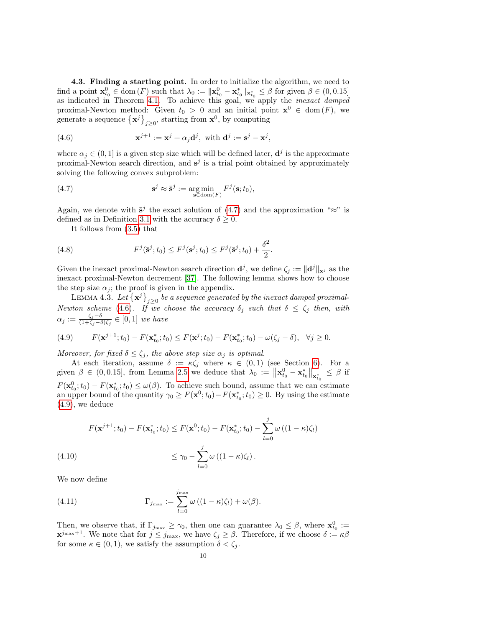<span id="page-9-0"></span>4.3. Finding a starting point. In order to initialize the algorithm, we need to find a point  $\mathbf{x}_{t_0}^0 \in \text{dom}(F)$  such that  $\lambda_0 := ||\mathbf{x}_{t_0}^0 - \mathbf{x}_{t_0}^*||_{\mathbf{x}_{t_0}^*} \leq \beta$  for given  $\beta \in (0, 0.15]$ as indicated in Theorem [4.1.](#page-8-0) To achieve this goal, we apply the *inexact damped* proximal-Newton method: Given  $t_0 > 0$  and an initial point  $\mathbf{x}^0 \in \text{dom}(F)$ , we generate a sequence  $\{\mathbf x^j\}_{j\geq 0}$ , starting from  $\mathbf x^0$ , by computing

<span id="page-9-2"></span>(4.6) 
$$
\mathbf{x}^{j+1} := \mathbf{x}^j + \alpha_j \mathbf{d}^j, \text{ with } \mathbf{d}^j := \mathbf{s}^j - \mathbf{x}^j,
$$

where  $\alpha_j \in (0,1]$  is a given step size which will be defined later,  $\mathbf{d}^j$  is the approximate proximal-Newton search direction, and  $s^j$  is a trial point obtained by approximately solving the following convex subproblem:

<span id="page-9-1"></span>(4.7) 
$$
\mathbf{s}^j \approx \bar{\mathbf{s}}^j := \underset{\mathbf{s} \in \text{dom}(F)}{\arg \min} F^j(\mathbf{s}; t_0),
$$

Again, we denote with  $\bar{s}^j$  the exact solution of [\(4.7\)](#page-9-1) and the approximation "≈" is defined as in Definition [3.1](#page-5-0) with the accuracy  $\delta \geq 0$ .

<span id="page-9-5"></span>It follows from [\(3.5\)](#page-5-4) that

(4.8) 
$$
F^{j}(\bar{\mathbf{s}}^{j};t_{0}) \leq F^{j}(\mathbf{s}^{j};t_{0}) \leq F^{j}(\bar{\mathbf{s}}^{j};t_{0}) + \frac{\delta^{2}}{2}.
$$

Given the inexact proximal-Newton search direction  $\mathbf{d}^j$ , we define  $\zeta_j := \|\mathbf{d}^j\|_{\mathbf{x}^j}$  as the inexact proximal-Newton decrement [\[37\]](#page-25-8). The following lemma shows how to choose the step size  $\alpha_j$ ; the proof is given in the appendix.

<span id="page-9-4"></span>LEMMA 4.3. Let  $\{ {\bf x}^j \}_{j \geq 0}$  be a sequence generated by the inexact damped proximal-Newton scheme [\(4.6\)](#page-9-2). If we choose the accuracy  $\delta_j$  such that  $\delta \leq \zeta_j$  then, with  $\alpha_j := \frac{\zeta_j-\delta}{(1+\zeta_j-\delta)}$  $\frac{\zeta_j-\delta}{(1+\zeta_j-\delta)\zeta_j} \in [0,1]$  we have

<span id="page-9-3"></span>(4.9) 
$$
F(\mathbf{x}^{j+1}; t_0) - F(\mathbf{x}_{t_0}^*; t_0) \leq F(\mathbf{x}^j; t_0) - F(\mathbf{x}_{t_0}^*; t_0) - \omega(\zeta_j - \delta), \quad \forall j \geq 0.
$$

Moreover, for fixed  $\delta \leq \zeta_i$ , the above step size  $\alpha_i$  is optimal.

At each iteration, assume  $\delta := \kappa \zeta_j$  where  $\kappa \in (0,1)$  (see Section [6\)](#page-12-0). For a given  $\beta \in (0, 0.15]$ , from Lemma [2.5](#page-4-4) we deduce that  $\lambda_0 := \|\mathbf{x}_{t_0}^0 - \mathbf{x}_{t_0}^*\|_{\mathbf{x}_{t_0}^*} \leq \beta$  if  $F(\mathbf{x}_{t_0}^0;t_0) - F(\mathbf{x}_{t_0}^*;t_0) \leq \omega(\beta)$ . To achieve such bound, assume that we can estimate an upper bound of the quantity  $\gamma_0 \geq F(\mathbf{x}^0; t_0) - F(\mathbf{x}^*_{t_0}; t_0) \geq 0$ . By using the estimate  $(4.9)$ , we deduce

$$
F(\mathbf{x}^{j+1}; t_0) - F(\mathbf{x}_{t_0}^*; t_0) \le F(\mathbf{x}^0; t_0) - F(\mathbf{x}_{t_0}^*; t_0) - \sum_{l=0}^j \omega ((1 - \kappa)\zeta_l)
$$
  
(4.10)  

$$
\le \gamma_0 - \sum_{l=0}^j \omega ((1 - \kappa)\zeta_l).
$$

We now define

(4.11) 
$$
\Gamma_{j_{\max}} := \sum_{l=0}^{j_{\max}} \omega ((1 - \kappa)\zeta_l) + \omega(\beta).
$$

Then, we observe that, if  $\Gamma_{j_{\text{max}}} \geq \gamma_0$ , then one can guarantee  $\lambda_0 \leq \beta$ , where  $\mathbf{x}_{t_0}^0 :=$  $\mathbf{x}^{j_{\text{max}}+1}$ . We note that for  $j \leq j_{\text{max}}$ , we have  $\zeta_j \geq \beta$ . Therefore, if we choose  $\delta := \kappa \beta$ for some  $\kappa \in (0,1)$ , we satisfy the assumption  $\delta < \zeta_j$ .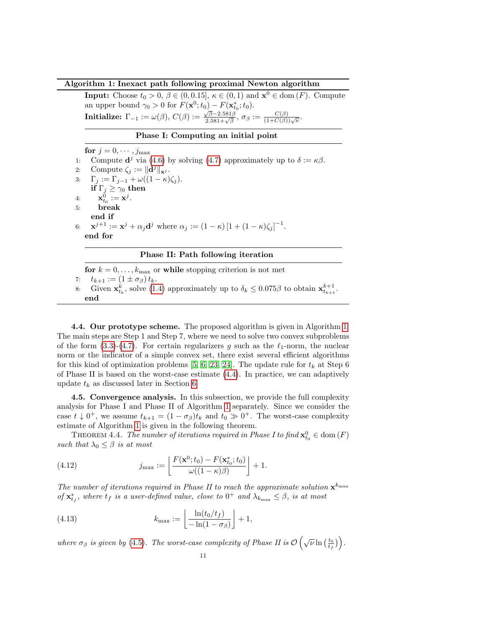#### Algorithm 1: Inexact path following proximal Newton algorithm

<span id="page-10-0"></span>**Input:** Choose  $t_0 > 0$ ,  $\beta \in (0, 0.15]$ ,  $\kappa \in (0, 1)$  and  $\mathbf{x}^0 \in \text{dom}(F)$ . Compute an upper bound  $\gamma_0 > 0$  for  $F(\mathbf{x}^0; t_0) - F(\mathbf{x}^*_{t_0}; t_0)$ . **Initialize:**  $\Gamma_{-1} := \omega(\beta), C(\beta) := \frac{\sqrt{\beta} - 2.581\beta}{2.581 + \sqrt{\beta}}, \sigma_{\beta} := \frac{C(\beta)}{(1 + C(\beta))\sqrt{\nu}}$ .

## Phase I: Computing an initial point

for  $j = 0, \cdots, j_{\text{max}}$ 1: Compute  $\mathbf{d}^j$  via [\(4.6\)](#page-9-2) by solving [\(4.7\)](#page-9-1) approximately up to  $\delta := \kappa \beta$ . 2: Compute  $\zeta_j := ||\mathbf{d}^j||_{\mathbf{x}^j}$ . 3:  $\Gamma_j := \Gamma_{j-1} + \omega((1 - \kappa)\zeta_j).$ if  $\Gamma_j \geq \gamma_0$  then 4:  $\mathbf{x}_{t_0}^0 := \mathbf{x}^j$ . 5: break end if 6:  $\mathbf{x}^{j+1} := \mathbf{x}^j + \alpha_j \mathbf{d}^j$  where  $\alpha_j := (1 - \kappa) [1 + (1 - \kappa) \zeta_j]^{-1}$ . end for

## Phase II: Path following iteration

for  $k = 0, \ldots, k_{\text{max}}$  or while stopping criterion is not met 7:  $t_{k+1} := (1 \pm \sigma_\beta) t_k$ . 8: Given  $\mathbf{x}_{t_k}^k$ , solve [\(1.4\)](#page-1-0) approximately up to  $\delta_k \leq 0.075\beta$  to obtain  $\mathbf{x}_{t_{k+1}}^{k+1}$ . end

4.4. Our prototype scheme. The proposed algorithm is given in Algorithm [1.](#page-10-0) The main steps are Step 1 and Step 7, where we need to solve two convex subproblems of the form  $(3.3)-(4.7)$  $(3.3)-(4.7)$ . For certain regularizers g such as the  $\ell_1$ -norm, the nuclear norm or the indicator of a simple convex set, there exist several efficient algorithms for this kind of optimization problems [\[5,](#page-24-10) [6,](#page-24-11) [23,](#page-24-5) [24\]](#page-25-5). The update rule for  $t_k$  at Step 6 of Phase II is based on the worst-case estimate [\(4.4\)](#page-8-4). In practice, we can adaptively update  $t_k$  as discussed later in Section [6.](#page-12-0)

4.5. Convergence analysis. In this subsection, we provide the full complexity analysis for Phase I and Phase II of Algorithm [1](#page-10-0) separately. Since we consider the case  $t \downarrow 0^+$ , we assume  $t_{k+1} = (1 - \sigma_\beta)t_k$  and  $t_0 \gg 0^+$ . The worst-case complexity estimate of Algorithm [1](#page-10-0) is given in the following theorem.

THEOREM 4.4. The number of iterations required in Phase I to find  $\mathbf{x}_{t_0}^0 \in \text{dom}(F)$ such that  $\lambda_0 \leq \beta$  is at most

(4.12) 
$$
j_{\max} := \left[ \frac{F(\mathbf{x}^0; t_0) - F(\mathbf{x}_{t_0}^*; t_0)}{\omega((1 - \kappa)\beta)} \right] + 1.
$$

The number of iterations required in Phase II to reach the approximate solution  $\mathbf{x}^{k_{\text{max}}}$ of  $\mathbf{x}_{t_f}^*$ , where  $t_f$  is a user-defined value, close to  $0^+$  and  $\lambda_{k_{\max}} \leq \beta$ , is at most

(4.13) 
$$
k_{\max} := \left\lfloor \frac{\ln(t_0/t_f)}{-\ln(1-\sigma_\beta)} \right\rfloor + 1,
$$

where  $\sigma_{\beta}$  is given by [\(4.5\)](#page-8-5). The worst-case complexity of Phase II is  $\mathcal{O}\left(\sqrt{\nu}\ln\left(\frac{t_0}{t_f}\right)\right)$ .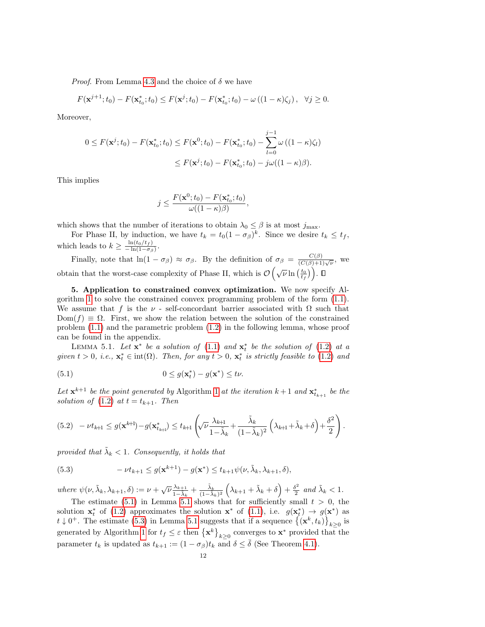*Proof.* From Lemma [4.3](#page-9-4) and the choice of  $\delta$  we have

$$
F(\mathbf{x}^{j+1};t_0) - F(\mathbf{x}_{t_0}^*;t_0) \leq F(\mathbf{x}^j;t_0) - F(\mathbf{x}_{t_0}^*;t_0) - \omega((1-\kappa)\zeta_j), \ \ \forall j \geq 0.
$$

Moreover,

$$
0 \le F(\mathbf{x}^{j}; t_{0}) - F(\mathbf{x}_{t_{0}}^{*}; t_{0}) \le F(\mathbf{x}^{0}; t_{0}) - F(\mathbf{x}_{t_{0}}^{*}; t_{0}) - \sum_{l=0}^{j-1} \omega ((1 - \kappa)\zeta_{l})
$$
  

$$
\le F(\mathbf{x}^{j}; t_{0}) - F(\mathbf{x}_{t_{0}}^{*}; t_{0}) - j\omega((1 - \kappa)\beta).
$$

This implies

$$
j \leq \frac{F(\mathbf{x}^0; t_0) - F(\mathbf{x}_{t_0}^*; t_0)}{\omega((1 - \kappa)\beta)},
$$

which shows that the number of iterations to obtain  $\lambda_0 \leq \beta$  is at most  $j_{\text{max}}$ .

For Phase II, by induction, we have  $t_k = t_0(1 - \sigma_\beta)^k$ . Since we desire  $t_k \leq t_f$ , which leads to  $k \geq \frac{\ln(t_0/t_f)}{\ln(1-\sigma_0)}$  $\frac{\ln(\iota_0/\iota_f)}{-\ln(1-\sigma_\beta)}$ .

Finally, note that  $\ln(1 - \sigma_{\beta}) \approx \sigma_{\beta}$ . By the definition of  $\sigma_{\beta} = \frac{C(\beta)}{(C(\beta)+1)\sqrt{\nu}}$ , we obtain that the worst-case complexity of Phase II, which is  $\mathcal{O}\left(\sqrt{\nu}\ln\left(\frac{t_0}{t_f}\right)\right)$ .

<span id="page-11-0"></span>5. Application to constrained convex optimization. We now specify Algorithm [1](#page-10-0) to solve the constrained convex programming problem of the form [\(1.1\)](#page-0-0). We assume that f is the  $\nu$  - self-concordant barrier associated with  $\Omega$  such that  $Dom(f) \equiv \Omega$ . First, we show the relation between the solution of the constrained problem [\(1.1\)](#page-0-0) and the parametric problem [\(1.2\)](#page-0-1) in the following lemma, whose proof can be found in the appendix.

<span id="page-11-2"></span>LEMMA 5.1. Let  $\mathbf{x}^*$  be a solution of [\(1.1\)](#page-0-0) and  $\mathbf{x}_t^*$  be the solution of [\(1.2\)](#page-0-1) at a given  $t > 0$ , i.e.,  $\mathbf{x}_t^* \in \text{int}(\Omega)$ . Then, for any  $t > 0$ ,  $\mathbf{x}_t^*$  is strictly feasible to [\(1.2\)](#page-0-1) and

<span id="page-11-1"></span>(5.1) 
$$
0 \le g(\mathbf{x}_t^*) - g(\mathbf{x}^*) \le t\nu.
$$

Let  $\mathbf{x}^{k+1}$  be the point generated by Algorithm [1](#page-10-0) at the iteration  $k+1$  and  $\mathbf{x}_{t_{k+1}}^*$  be the solution of  $(1.2)$  at  $t = t_{k+1}$ . Then

<span id="page-11-4"></span>
$$
(5.2) \quad -\nu t_{k+1} \le g(\mathbf{x}^{k+1}) - g(\mathbf{x}_{t_{k+1}}^*) \le t_{k+1} \left(\sqrt{\nu} \frac{\lambda_{k+1}}{1-\tilde{\lambda}_k} + \frac{\tilde{\lambda}_k}{(1-\tilde{\lambda}_k)^2} \left(\lambda_{k+1} + \tilde{\lambda}_k + \delta\right) + \frac{\delta^2}{2}\right).
$$

provided that  $\tilde{\lambda}_k < 1$ . Consequently, it holds that

<span id="page-11-3"></span>(5.3) 
$$
-\nu t_{k+1} \leq g(\mathbf{x}^{k+1}) - g(\mathbf{x}^*) \leq t_{k+1} \psi(\nu, \tilde{\lambda}_k, \lambda_{k+1}, \delta),
$$

where  $\psi(\nu, \tilde{\lambda}_k, \lambda_{k+1}, \delta) := \nu + \sqrt{\nu} \frac{\lambda_{k+1}}{1 - \tilde{\lambda}_k} + \frac{\tilde{\lambda}_k}{(1 - \tilde{\lambda})}$  $\frac{\tilde{\lambda}_k}{(1-\tilde{\lambda}_k)^2}\left(\lambda_{k+1}+\tilde{\lambda}_k+\delta\right)+\frac{\delta^2}{2}$  $\frac{\delta^2}{2}$  and  $\tilde{\lambda}_k < 1$ .

The estimate [\(5.1\)](#page-11-1) in Lemma [5.1](#page-11-2) shows that for sufficiently small  $t > 0$ , the solution  $\mathbf{x}_t^*$  of [\(1.2\)](#page-0-1) approximates the solution  $\mathbf{x}^*$  of [\(1.1\)](#page-0-0), i.e.  $g(\mathbf{x}_t^*) \to g(\mathbf{x}^*)$  as  $t \downarrow 0^+$ . The estimate [\(5.3\)](#page-11-3) in Lemma [5.1](#page-11-2) suggests that if a sequence  $\{(\mathbf{x}^k, t_k)\}_{k\geq 0}$  is generated by Algorithm [1](#page-10-0) for  $t_f \leq \varepsilon$  then  $\{\mathbf{x}^k\}_{k\geq 0}$  converges to  $\mathbf{x}^*$  provided that the parameter  $t_k$  is updated as  $t_{k+1} := (1 - \sigma_\beta)t_k$  and  $\delta \leq \overline{\delta}$  (See Theorem [4.1\)](#page-8-0).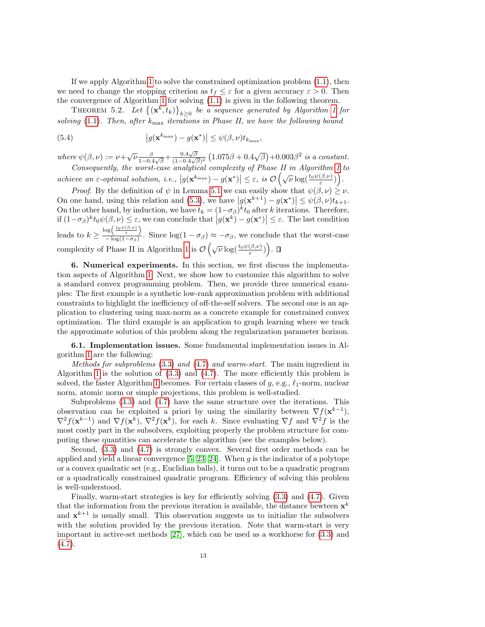If we apply Algorithm [1](#page-10-0) to solve the constrained optimization problem [\(1.1\)](#page-0-0), then we need to change the stopping criterion as  $t_f \leq \varepsilon$  for a given accuracy  $\varepsilon > 0$ . Then the convergence of Algorithm [1](#page-10-0) for solving [\(1.1\)](#page-0-0) is given in the following theorem.

THEOREM 5.2. Let  $\{(\mathbf{x}^k,t_k)\}_{k\geq 0}$  be a sequence generated by Algorithm [1](#page-10-0) for solving [\(1.1\)](#page-0-0). Then, after  $k_{\text{max}}$  iterations in Phase II, we have the following bound

(5.4) 
$$
\left|g(\mathbf{x}^{k_{\max}})-g(\mathbf{x}^*)\right|\leq \psi(\beta,\nu)t_{k_{\max}},
$$

where  $\psi(\beta,\nu) := \nu + \sqrt{\nu} \frac{\beta}{1-\alpha}$  $\frac{\beta}{1-0.4\sqrt{\beta}} + \frac{0.4\sqrt{\beta}}{(1-0.4\sqrt{\beta})}$  $\frac{0.4\sqrt{\beta}}{(1-0.4\sqrt{\beta})^2} (1.075\beta + 0.4\sqrt{\beta}) + 0.003\beta^2$  is a constant. Consequently, the worst-case analytical complexity of Phase II in Algorithm [1](#page-10-0) to

 $\left| \text{achieve an }\varepsilon\text{-optimal solution, } i.e., \left| g(\mathbf{x}^{k_{\max}}) - g(\mathbf{x}^*) \right| \leq \varepsilon, \text{ is } \mathcal{O}\left(\sqrt{\nu} \log(\frac{t_0 \psi(\beta,\nu)}{\varepsilon})\right).$ 

*Proof.* By the definition of  $\psi$  in Lemma [5.1](#page-11-2) we can easily show that  $\psi(\beta, \nu) \geq \nu$ . On one hand, using this relation and [\(5.3\)](#page-11-3), we have  $|g(\mathbf{x}^{k+1}) - g(\mathbf{x}^*)| \leq \psi(\beta, \nu)t_{k+1}$ . On the other hand, by induction, we have  $t_k = (1 - \sigma_\beta)^k t_0$  after k iterations. Therefore, if  $(1-\sigma_{\beta})^k t_0 \psi(\beta,\nu) \leq \varepsilon$ , we can conclude that  $|g(\mathbf{x}^k) - g(\mathbf{x}^*)| \leq \varepsilon$ . The last condition leads to  $k \geq \frac{\log\left(\frac{t_0 \psi(\beta,\nu)}{\varepsilon}\right)}{\log(1-\sigma_0)}$  $\frac{\sigma_0(\epsilon)}{-\log(1-\sigma_\beta)}$ . Since  $\log(1-\sigma_\beta) \approx -\sigma_\beta$ , we conclude that the worst-case complexity of Phase II in Algorithm [1](#page-10-0) is  $\mathcal{O}\left(\sqrt{\nu}\log(\frac{t_0\psi(\beta,\nu)}{\varepsilon})\right)$ .

<span id="page-12-0"></span>6. Numerical experiments. In this section, we first discuss the implementation aspects of Algorithm [1.](#page-10-0) Next, we show how to customize this algorithm to solve a standard convex programming problem. Then, we provide three numerical examples: The first example is a synthetic low-rank approximation problem with additional constraints to highlight the inefficiency of off-the-self solvers. The second one is an application to clustering using max-norm as a concrete example for constrained convex optimization. The third example is an application to graph learning where we track the approximate solution of this problem along the regularization parameter horizon.

<span id="page-12-1"></span>6.1. Implementation issues. Some fundamental implementation issues in Algorithm [1](#page-10-0) are the following:

Methods for subproblems [\(3.3\)](#page-4-3) and [\(4.7\)](#page-9-1) and warm-start. The main ingredient in Algorithm [1](#page-10-0) is the solution of  $(3.3)$  and  $(4.7)$ . The more efficiently this problem is solved, the faster Algorithm [1](#page-10-0) becomes. For certain classes of  $g$ , e.g.,  $\ell_1$ -norm, nuclear norm, atomic norm or simple projections, this problem is well-studied.

Subproblems [\(3.3\)](#page-4-3) and [\(4.7\)](#page-9-1) have the same structure over the iterations. This observation can be exploited a priori by using the similarity between  $\nabla f(\mathbf{x}^{k-1})$ ,  $\nabla^2 f(\mathbf{x}^{k-1})$  and  $\nabla f(\mathbf{x}^k)$ ,  $\nabla^2 f(\mathbf{x}^k)$ , for each k. Since evaluating  $\nabla f$  and  $\nabla^2 f$  is the most costly part in the subsolvers, exploiting properly the problem structure for computing these quantities can accelerate the algorithm (see the examples below).

Second, [\(3.3\)](#page-4-3) and [\(4.7\)](#page-9-1) is strongly convex. Several first order methods can be applied and yield a linear convergence  $[5, 23, 24]$  $[5, 23, 24]$  $[5, 23, 24]$ . When q is the indicator of a polytope or a convex quadratic set (e.g., Euclidian balls), it turns out to be a quadratic program or a quadratically constrained quadratic program. Efficiency of solving this problem is well-understood.

Finally, warm-start strategies is key for efficiently solving [\(3.3\)](#page-4-3) and [\(4.7\)](#page-9-1). Given that the information from the previous iteration is available, the distance bewteen  $\mathbf{x}^k$ and  $x^{k+1}$  is usually small. This observation suggests us to initialize the subsolvers with the solution provided by the previous iteration. Note that warm-start is very important in active-set methods [\[27\]](#page-25-9), which can be used as a workhorse for [\(3.3\)](#page-4-3) and  $(4.7).$  $(4.7).$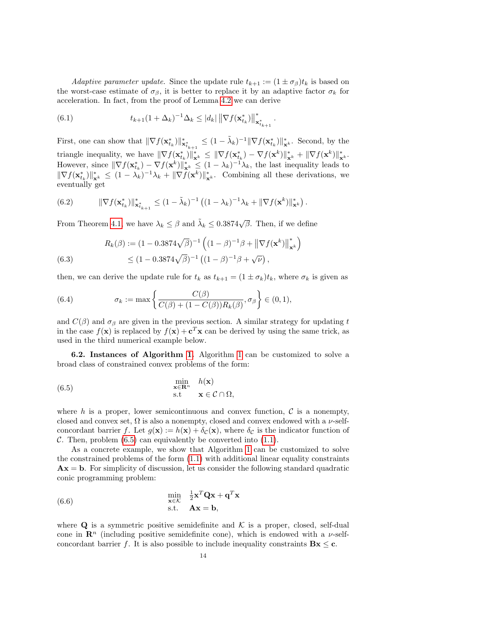Adaptive parameter update. Since the update rule  $t_{k+1} := (1 \pm \sigma_{\beta}) t_k$  is based on the worst-case estimate of  $\sigma_{\beta}$ , it is better to replace it by an adaptive factor  $\sigma_{k}$  for acceleration. In fact, from the proof of Lemma [4.2](#page-8-3) we can derive

.

(6.1) 
$$
t_{k+1}(1+\Delta_k)^{-1}\Delta_k \le |d_k| \left\|\nabla f(\mathbf{x}_{t_k}^*)\right\|_{\mathbf{x}_{t_{k+1}}^*}^*
$$

First, one can show that  $\|\nabla f(\mathbf{x}_{t_k}^*)\|_{\mathbf{x}_{t_{k+1}}^*}^* \leq (1 - \tilde{\lambda}_k)^{-1} \|\nabla f(\mathbf{x}_{t_k}^*)\|_{\mathbf{x}^k}^*$ . Second, by the triangle inequality, we have  $\|\nabla f(\mathbf{x}_{t_k}^*)\|_{\mathbf{x}^k}^* \leq \|\nabla f(\mathbf{x}_{t_k}^*) - \nabla f(\mathbf{x}^k)\|_{\mathbf{x}^k}^* + \|\nabla f(\mathbf{x}^k)\|_{\mathbf{x}^k}^*$ However, since  $\|\nabla f(\mathbf{x}_{t_k}^*) - \nabla f(\mathbf{x}^k)\|_{\mathbf{x}^k}^* \leq (1 - \lambda_k)^{-1} \lambda_k$ , the last inequality leads to  $\|\nabla f(\mathbf{x}_{t_k}^*)\|_{\mathbf{x}^k}^* \leq (1 - \lambda_k)^{-1} \lambda_k + \|\nabla f(\mathbf{x}^k)\|_{\mathbf{x}^k}^*$ . Combining all these derivations, we eventually get

(6.2) 
$$
\|\nabla f(\mathbf{x}_{t_k}^*)\|_{\mathbf{x}_{t_{k+1}}^*}^* \leq (1-\tilde{\lambda}_k)^{-1} \left( (1-\lambda_k)^{-1} \lambda_k + \|\nabla f(\mathbf{x}^k)\|_{\mathbf{x}^k}^*\right).
$$

From Theorem [4.1,](#page-8-0) we have  $\lambda_k \leq \beta$  and  $\tilde{\lambda}_k \leq 0.3874\sqrt{\beta}$ . Then, if we define

(6.3) 
$$
R_k(\beta) := (1 - 0.3874\sqrt{\beta})^{-1} \left( (1 - \beta)^{-1} \beta + \left\| \nabla f(\mathbf{x}^k) \right\|_{\mathbf{x}^k}^* \right)
$$

$$
\leq (1 - 0.3874\sqrt{\beta})^{-1} \left( (1 - \beta)^{-1} \beta + \sqrt{\nu} \right),
$$

then, we can derive the update rule for  $t_k$  as  $t_{k+1} = (1 \pm \sigma_k)t_k$ , where  $\sigma_k$  is given as

(6.4) 
$$
\sigma_k := \max \left\{ \frac{C(\beta)}{C(\beta) + (1 - C(\beta))R_k(\beta)}, \sigma_\beta \right\} \in (0, 1),
$$

and  $C(\beta)$  and  $\sigma_{\beta}$  are given in the previous section. A similar strategy for updating t in the case  $f(\mathbf{x})$  is replaced by  $f(\mathbf{x}) + \mathbf{c}^T \mathbf{x}$  can be derived by using the same trick, as used in the third numerical example below.

6.2. Instances of Algorithm [1.](#page-10-0) Algorithm [1](#page-10-0) can be customized to solve a broad class of constrained convex problems of the form:

<span id="page-13-0"></span>(6.5) 
$$
\begin{array}{ll}\n\min_{\mathbf{x} \in \mathbf{R}^n} & h(\mathbf{x}) \\
\text{s.t} & \mathbf{x} \in \mathcal{C} \cap \Omega,\n\end{array}
$$

where h is a proper, lower semicontinuous and convex function,  $\mathcal C$  is a nonempty, closed and convex set,  $\Omega$  is also a nonempty, closed and convex endowed with a  $\nu$ -selfconcordant barrier f. Let  $g(\mathbf{x}) := h(\mathbf{x}) + \delta_c(\mathbf{x})$ , where  $\delta_c$  is the indicator function of C. Then, problem  $(6.5)$  can equivalently be converted into  $(1.1)$ .

As a concrete example, we show that Algorithm [1](#page-10-0) can be customized to solve the constrained problems of the form [\(1.1\)](#page-0-0) with additional linear equality constraints  $\mathbf{A}\mathbf{x} = \mathbf{b}$ . For simplicity of discussion, let us consider the following standard quadratic conic programming problem:

<span id="page-13-1"></span>(6.6) 
$$
\begin{array}{rcl}\n\min & \frac{1}{2} \mathbf{x}^T \mathbf{Q} \mathbf{x} + \mathbf{q}^T \mathbf{x} \\
\text{s.t.} & \mathbf{A} \mathbf{x} = \mathbf{b},\n\end{array}
$$

where  $\bf{Q}$  is a symmetric positive semidefinite and K is a proper, closed, self-dual cone in  $\mathbb{R}^n$  (including positive semidefinite cone), which is endowed with a  $\nu$ -selfconcordant barrier f. It is also possible to include inequality constraints  $Bx \leq c$ .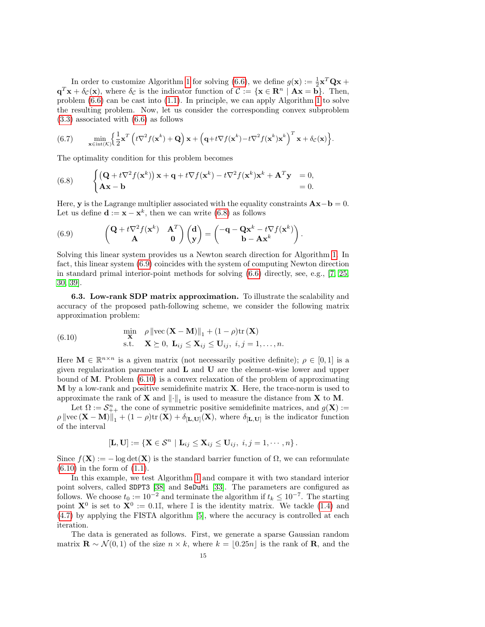In order to customize Algorithm [1](#page-10-0) for solving [\(6.6\)](#page-13-1), we define  $g(\mathbf{x}) := \frac{1}{2} \mathbf{x}^T \mathbf{Q} \mathbf{x} +$  $\mathbf{q}^T \mathbf{x} + \delta_{\mathcal{C}}(\mathbf{x})$ , where  $\delta_{\mathcal{C}}$  is the indicator function of  $\mathcal{C} := {\mathbf{x} \in \mathbf{R}^n \mid \mathbf{A}\mathbf{x} = \mathbf{b}}$ . Then, problem [\(6.6\)](#page-13-1) can be cast into [\(1.1\)](#page-0-0). In principle, we can apply Algorithm [1](#page-10-0) to solve the resulting problem. Now, let us consider the corresponding convex subproblem [\(3.3\)](#page-4-3) associated with [\(6.6\)](#page-13-1) as follows

(6.7) 
$$
\min_{\mathbf{x} \in \text{int}(\mathcal{K})} \left\{ \frac{1}{2} \mathbf{x}^T \left( t \nabla^2 f(\mathbf{x}^k) + \mathbf{Q} \right) \mathbf{x} + \left( \mathbf{q} + t \nabla f(\mathbf{x}^k) - t \nabla^2 f(\mathbf{x}^k) \mathbf{x}^k \right)^T \mathbf{x} + \delta_c(\mathbf{x}) \right\}.
$$

The optimality condition for this problem becomes

<span id="page-14-0"></span>(6.8) 
$$
\begin{cases} (\mathbf{Q} + t\nabla^2 f(\mathbf{x}^k)) \mathbf{x} + \mathbf{q} + t\nabla f(\mathbf{x}^k) - t\nabla^2 f(\mathbf{x}^k) \mathbf{x}^k + \mathbf{A}^T \mathbf{y} & = 0, \\ \mathbf{Ax} - \mathbf{b} & = 0. \end{cases}
$$

Here, y is the Lagrange multiplier associated with the equality constraints  $\mathbf{Ax}-\mathbf{b}=0$ . Let us define  $\mathbf{d} := \mathbf{x} - \mathbf{x}^k$ , then we can write [\(6.8\)](#page-14-0) as follows

.

<span id="page-14-1"></span>(6.9) 
$$
\begin{pmatrix} \mathbf{Q} + t\nabla^2 f(\mathbf{x}^k) & \mathbf{A}^T \\ \mathbf{A} & \mathbf{0} \end{pmatrix} \begin{pmatrix} \mathbf{d} \\ \mathbf{y} \end{pmatrix} = \begin{pmatrix} -\mathbf{q} - \mathbf{Q}\mathbf{x}^k - t\nabla f(\mathbf{x}^k) \\ \mathbf{b} - \mathbf{A}\mathbf{x}^k \end{pmatrix}
$$

Solving this linear system provides us a Newton search direction for Algorithm [1.](#page-10-0) In fact, this linear system [\(6.9\)](#page-14-1) coincides with the system of computing Newton direction in standard primal interior-point methods for solving [\(6.6\)](#page-13-1) directly, see, e.g., [\[7,](#page-24-3) [25,](#page-25-1) [30,](#page-25-10) [39\]](#page-25-11).

6.3. Low-rank SDP matrix approximation. To illustrate the scalability and accuracy of the proposed path-following scheme, we consider the following matrix approximation problem:

<span id="page-14-2"></span>(6.10) 
$$
\begin{aligned}\n\min_{\mathbf{X}} \quad & \rho \left\| \text{vec} \left( \mathbf{X} - \mathbf{M} \right) \right\|_1 + (1 - \rho) \text{tr} \left( \mathbf{X} \right) \\
\text{s.t.} \quad & \mathbf{X} \succeq 0, \ \mathbf{L}_{ij} \leq \mathbf{X}_{ij} \leq \mathbf{U}_{ij}, \ i, j = 1, \dots, n.\n\end{aligned}
$$

Here  $\mathbf{M} \in \mathbb{R}^{n \times n}$  is a given matrix (not necessarily positive definite);  $\rho \in [0,1]$  is a given regularization parameter and  $L$  and  $U$  are the element-wise lower and upper bound of M. Problem [\(6.10\)](#page-14-2) is a convex relaxation of the problem of approximating  **by a low-rank and positive semidefinite matrix**  $**X**$ **. Here, the trace-norm is used to** approximate the rank of **X** and  $\lVert \cdot \rVert_1$  is used to measure the distance from **X** to **M**.

Let  $\Omega := \mathcal{S}_{++}^n$  the cone of symmetric positive semidefinite matrices, and  $g(\mathbf{X}) :=$  $\rho \|\text{vec}(\mathbf{X} - \mathbf{M})\|_1 + (1 - \rho)\text{tr}(\mathbf{X}) + \delta_{[\mathbf{L},\mathbf{U}]}(\mathbf{X}),$  where  $\delta_{[\mathbf{L},\mathbf{U}]}$  is the indicator function of the interval

$$
[\mathbf{L},\mathbf{U}] := \{ \mathbf{X} \in \mathcal{S}^n \mid \mathbf{L}_{ij} \leq \mathbf{X}_{ij} \leq \mathbf{U}_{ij}, \ i,j = 1,\cdots,n \}.
$$

Since  $f(\mathbf{X}) := -\log \det(\mathbf{X})$  is the standard barrier function of  $\Omega$ , we can reformulate  $(6.10)$  in the form of  $(1.1)$ .

In this example, we test Algorithm [1](#page-10-0) and compare it with two standard interior point solvers, called SDPT3 [\[38\]](#page-25-12) and SeDuMi [\[33\]](#page-25-13). The parameters are configured as follows. We choose  $t_0 := 10^{-2}$  and terminate the algorithm if  $t_k \leq 10^{-7}$ . The starting point  $X^0$  is set to  $X^0 := 0.1\mathbb{I}$ , where  $\mathbb{I}$  is the identity matrix. We tackle [\(1.4\)](#page-1-0) and [\(4.7\)](#page-9-1) by applying the FISTA algorithm [\[5\]](#page-24-10), where the accuracy is controlled at each iteration.

The data is generated as follows. First, we generate a sparse Gaussian random matrix  $\mathbf{R} \sim \mathcal{N}(0, 1)$  of the size  $n \times k$ , where  $k = |0.25n|$  is the rank of **R**, and the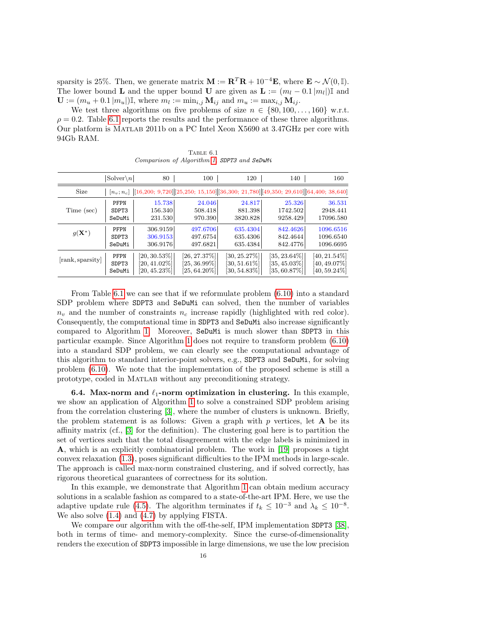sparsity is 25%. Then, we generate matrix  $\mathbf{M} := \mathbf{R}^T \mathbf{R} + 10^{-4} \mathbf{E}$ , where  $\mathbf{E} \sim \mathcal{N}(0, \mathbb{I})$ . The lower bound **L** and the upper bound **U** are given as  $\mathbf{L} := (m_l - 0.1 |m_l|) \mathbb{I}$  and  $\mathbf{U} := (m_u + 0.1 |m_u|) \mathbb{I}$ , where  $m_l := \min_{i,j} \mathbf{M}_{ij}$  and  $m_u := \max_{i,j} \mathbf{M}_{ij}$ .

We test three algorithms on five problems of size  $n \in \{80, 100, \ldots, 160\}$  w.r.t.  $\rho = 0.2$ . Table [6.1](#page-15-0) reports the results and the performance of these three algorithms. Our platform is Matlab 2011b on a PC Intel Xeon X5690 at 3.47GHz per core with 94Gb RAM.

<span id="page-15-0"></span>TABLE  $6.1$ Comparison of Algorithm [1,](#page-10-0) SDPT3 and SeDuMi

|                   | $ Solver\setminus n $ | 80              | 100             | 120                              | 140                                                                                                 | 160             |
|-------------------|-----------------------|-----------------|-----------------|----------------------------------|-----------------------------------------------------------------------------------------------------|-----------------|
| Size              |                       |                 |                 |                                  | $[n_v; n_c]$ $ [16,200; 9,720] [25,250; 15,150] [36,300; 21,780] [49,350; 29,610] [64,400; 38,640]$ |                 |
| Time (sec)        | PFPN                  | 15.738          | 24.046          | 24.817                           | 25.326                                                                                              | 36.531          |
|                   | SDPT3                 | 156.340         | 508.418         | 881.398                          | 1742.502                                                                                            | 2948.441        |
|                   | SeDuMi                | 231.530         | 970.390         | 3820.828                         | 9258.429                                                                                            | 17096.580       |
| $g(\mathbf{X}^*)$ | PFPN                  | 306.9159        | 497.6706        | 635.4304                         | 842.4626                                                                                            | 1096.6516       |
|                   | SDPT3                 | 306.9153        | 497.6754        | 635.4306                         | 842.4644                                                                                            | 1096.6540       |
|                   | SeDuMi                | 306.9176        | 497.6821        | 635.4384                         | 842.4776                                                                                            | 1096.6695       |
| [rank, sparsity]  | PFPN                  | $[20, 30.53\%]$ | $[26, 27.37\%]$ | $\left[30,25.27\% \right] \vert$ | $[35, 23.64\%]$                                                                                     | $[40, 21.54\%]$ |
|                   | SDPT3                 | $[20, 41.02\%]$ | $[25, 36.99\%]$ | $[30, 51.61\%]$                  | $[35, 45.03\%]$                                                                                     | $[40, 49.07\%]$ |
|                   | SeDuMi                | $[20, 45.23\%]$ | $[25, 64.20\%]$ | $[30, 54.83\%]$                  | $[35, 60.87\%]$                                                                                     | $[40, 59.24\%]$ |

From Table [6.1](#page-15-0) we can see that if we reformulate problem [\(6.10\)](#page-14-2) into a standard SDP problem where SDPT3 and SeDuMi can solved, then the number of variables  $n_v$  and the number of constraints  $n_c$  increase rapidly (highlighted with red color). Consequently, the computational time in SDPT3 and SeDuMi also increase significantly compared to Algorithm [1.](#page-10-0) Moreover, SeDuMi is much slower than SDPT3 in this particular example. Since Algorithm [1](#page-10-0) does not require to transform problem [\(6.10\)](#page-14-2) into a standard SDP problem, we can clearly see the computational advantage of this algorithm to standard interior-point solvers, e.g., SDPT3 and SeDuMi, for solving problem [\(6.10\)](#page-14-2). We note that the implementation of the proposed scheme is still a prototype, coded in Matlab without any preconditioning strategy.

**6.4.** Max-norm and  $\ell_1$ -norm optimization in clustering. In this example, we show an application of Algorithm [1](#page-10-0) to solve a constrained SDP problem arising from the correlation clustering [\[3\]](#page-24-16), where the number of clusters is unknown. Briefly, the problem statement is as follows: Given a graph with  $p$  vertices, let  $A$  be its affinity matrix (cf., [\[3\]](#page-24-16) for the definition). The clustering goal here is to partition the set of vertices such that the total disagreement with the edge labels is minimized in A, which is an explicitly combinatorial problem. The work in [\[19\]](#page-24-6) proposes a tight convex relaxation [\(1.3\)](#page-1-1), poses significant difficulties to the IPM methods in large-scale. The approach is called max-norm constrained clustering, and if solved correctly, has rigorous theoretical guarantees of correctness for its solution.

In this example, we demonstrate that Algorithm [1](#page-10-0) can obtain medium accuracy solutions in a scalable fashion as compared to a state-of-the-art IPM. Here, we use the adaptive update rule [\(4.5\)](#page-8-5). The algorithm terminates if  $t_k \leq 10^{-3}$  and  $\lambda_k \leq 10^{-8}$ . We also solve [\(1.4\)](#page-1-0) and [\(4.7\)](#page-9-1) by applying FISTA.

We compare our algorithm with the off-the-self, IPM implementation SDPT3 [\[38\]](#page-25-12), both in terms of time- and memory-complexity. Since the curse-of-dimensionality renders the execution of SDPT3 impossible in large dimensions, we use the low precision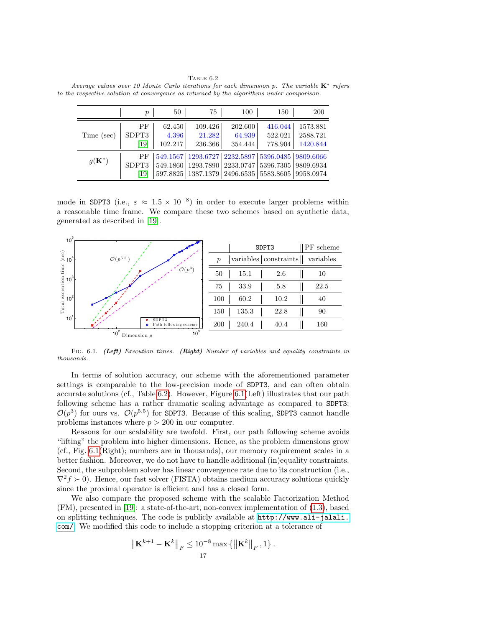<span id="page-16-0"></span>TABLE  $6.2$ Average values over 10 Monte Carlo iterations for each dimension p. The variable  $K^*$  refers to the respective solution at convergence as returned by the algorithms under comparison.

|                   | $\boldsymbol{p}$    | 50                         | 75                                                                                                                                                                               | 100                          | 150                           | <b>200</b>                       |
|-------------------|---------------------|----------------------------|----------------------------------------------------------------------------------------------------------------------------------------------------------------------------------|------------------------------|-------------------------------|----------------------------------|
| Time (sec)        | PF<br>SDPT3<br>[19] | 62.450<br>4.396<br>102.217 | 109.426<br>21.282<br>236.366                                                                                                                                                     | 202.600<br>64.939<br>354.444 | 416.044<br>522.021<br>778.904 | 1573.881<br>2588.721<br>1420.844 |
| $g(\mathbf{K}^*)$ | PF<br>SDPT3<br>[19] |                            | 549.1567   1293.6727   2232.5897   5396.0485   9809.6066<br>549.1860   1293.7890   2233.0747   5396.7305   9809.6934<br>597.8825   1387.1379   2496.6535   5583.8605   9958.0974 |                              |                               |                                  |

mode in SDPT3 (i.e.,  $\varepsilon \approx 1.5 \times 10^{-8}$ ) in order to execute larger problems within a reasonable time frame. We compare these two schemes based on synthetic data, generated as described in [\[19\]](#page-24-6).



FIG. 6.1. (Left) Execution times. (Right) Number of variables and equality constraints in thousands.

In terms of solution accuracy, our scheme with the aforementioned parameter settings is comparable to the low-precision mode of SDPT3, and can often obtain accurate solutions (cf., Table [6.2\)](#page-16-0). However, Figure [6.1\(](#page-6-1)Left) illustrates that our path following scheme has a rather dramatic scaling advantage as compared to SDPT3:  $\mathcal{O}(p^3)$  for ours vs.  $\mathcal{O}(p^{5.5})$  for SDPT3. Because of this scaling, SDPT3 cannot handle problems instances where  $p > 200$  in our computer.

Reasons for our scalability are twofold. First, our path following scheme avoids "lifting" the problem into higher dimensions. Hence, as the problem dimensions grow (cf., Fig. [6.1\(](#page-6-1)Right); numbers are in thousands), our memory requirement scales in a better fashion. Moreover, we do not have to handle additional (in)equality constraints. Second, the subproblem solver has linear convergence rate due to its construction (i.e.,  $\nabla^2 f \succ 0$ ). Hence, our fast solver (FISTA) obtains medium accuracy solutions quickly since the proximal operator is efficient and has a closed form.

We also compare the proposed scheme with the scalable Factorization Method (FM), presented in [\[19\]](#page-24-6): a state-of-the-art, non-convex implementation of [\(1.3\)](#page-1-1), based on splitting techniques. The code is publicly available at [http://www.ali-jalali.](http://www.ali-jalali.com/) [com/](http://www.ali-jalali.com/). We modified this code to include a stopping criterion at a tolerance of

$$
\left\| \mathbf{K}^{k+1} - \mathbf{K}^{k} \right\|_F \leq 10^{-8} \max \left\{ \left\| \mathbf{K}^{k} \right\|_F, 1 \right\}.
$$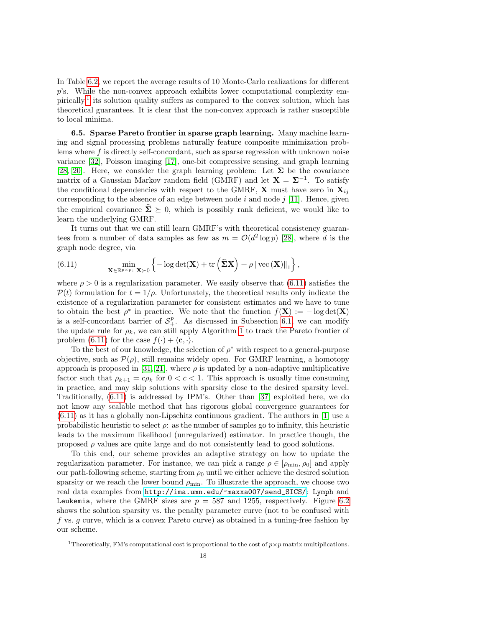In Table [6.2,](#page-16-0) we report the average results of 10 Monte-Carlo realizations for different p's. While the non-convex approach exhibits lower computational complexity em-pirically,<sup>[1](#page-17-0)</sup> its solution quality suffers as compared to the convex solution, which has theoretical guarantees. It is clear that the non-convex approach is rather susceptible to local minima.

6.5. Sparse Pareto frontier in sparse graph learning. Many machine learning and signal processing problems naturally feature composite minimization problems where f is directly self-concordant, such as sparse regression with unknown noise variance [\[32\]](#page-25-0), Poisson imaging [\[17\]](#page-24-1), one-bit compressive sensing, and graph learning [\[28,](#page-25-2) [20\]](#page-24-17). Here, we consider the graph learning problem: Let  $\Sigma$  be the covariance matrix of a Gaussian Markov random field (GMRF) and let  $X = \Sigma^{-1}$ . To satisfy the conditional dependencies with respect to the GMRF, **X** must have zero in  $\mathbf{X}_{ij}$ corresponding to the absence of an edge between node  $i$  and node  $j$  [\[11\]](#page-24-18). Hence, given the empirical covariance  $\hat{\Sigma} \succeq 0$ , which is possibly rank deficient, we would like to learn the underlying GMRF.

It turns out that we can still learn GMRF's with theoretical consistency guarantees from a number of data samples as few as  $m = \mathcal{O}(d^2 \log p)$  [\[28\]](#page-25-2), where d is the graph node degree, via

<span id="page-17-1"></span>(6.11) 
$$
\min_{\mathbf{X} \in \mathbb{R}^{p \times p}: \mathbf{X} \succ 0} \left\{-\log \det(\mathbf{X}) + \text{tr}\left(\widehat{\mathbf{\Sigma}}\mathbf{X}\right) + \rho \left\|\text{vec}\left(\mathbf{X}\right)\right\|_{1}\right\},
$$

where  $\rho > 0$  is a regularization parameter. We easily observe that [\(6.11\)](#page-17-1) satisfies the  $\mathcal{P}(t)$  formulation for  $t = 1/\rho$ . Unfortunately, the theoretical results only indicate the existence of a regularization parameter for consistent estimates and we have to tune to obtain the best  $\rho^*$  in practice. We note that the function  $f(\mathbf{X}) := -\log \det(\mathbf{X})$ is a self-concordant barrier of  $S^p_+$ . As discussed in Subsection [6.1,](#page-12-1) we can modify the update rule for  $\rho_k$ , we can still apply Algorithm [1](#page-10-0) to track the Pareto frontier of problem [\(6.11\)](#page-17-1) for the case  $f(\cdot) + \langle c, \cdot \rangle$ .

To the best of our knowledge, the selection of  $\rho^*$  with respect to a general-purpose objective, such as  $\mathcal{P}(\rho)$ , still remains widely open. For GMRF learning, a homotopy approach is proposed in [\[31,](#page-25-14) [21\]](#page-24-19), where  $\rho$  is updated by a non-adaptive multiplicative factor such that  $\rho_{k+1} = c\rho_k$  for  $0 < c < 1$ . This approach is usually time consuming in practice, and may skip solutions with sparsity close to the desired sparsity level. Traditionally, [\(6.11\)](#page-17-1) is addressed by IPM's. Other than [\[37\]](#page-25-8) exploited here, we do not know any scalable method that has rigorous global convergence guarantees for  $(6.11)$  as it has a globally non-Lipschitz continuous gradient. The authors in [\[1\]](#page-24-20) use a probabilistic heuristic to select  $\rho$ : as the number of samples go to infinity, this heuristic leads to the maximum likelihood (unregularized) estimator. In practice though, the proposed  $\rho$  values are quite large and do not consistently lead to good solutions.

To this end, our scheme provides an adaptive strategy on how to update the regularization parameter. For instance, we can pick a range  $\rho \in [\rho_{\min}, \rho_0]$  and apply our path-following scheme, starting from  $\rho_0$  until we either achieve the desired solution sparsity or we reach the lower bound  $\rho_{\min}$ . To illustrate the approach, we choose two real data examples from [http://ima.umn.edu/~maxxa007/send\\_SICS/](http://ima.umn.edu/~maxxa007/send_SICS/): Lymph and Leukemia, where the GMRF sizes are  $p = 587$  and 1255, respectively. Figure [6.2](#page-18-0) shows the solution sparsity vs. the penalty parameter curve (not to be confused with f vs. g curve, which is a convex Pareto curve) as obtained in a tuning-free fashion by our scheme.

<span id="page-17-0"></span><sup>&</sup>lt;sup>1</sup>Theoretically, FM's computational cost is proportional to the cost of  $p \times p$  matrix multiplications.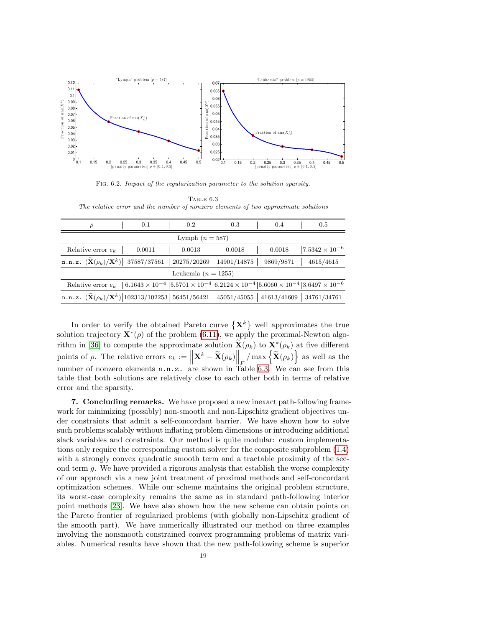

<span id="page-18-0"></span>Fig. 6.2. Impact of the regularization parameter to the solution sparsity.

<span id="page-18-1"></span>TABLE 6.3 The relative error and the number of nonzero elements of two approximate solutions

| $\rho$                                                                                                                                                 |  | 0.1    |  | 0.2    |  | 0.3                           |  | 0.4       | 0.5                      |
|--------------------------------------------------------------------------------------------------------------------------------------------------------|--|--------|--|--------|--|-------------------------------|--|-----------|--------------------------|
| Lymph $(n = 587)$                                                                                                                                      |  |        |  |        |  |                               |  |           |                          |
| Relative error $e_k$                                                                                                                                   |  | 0.0011 |  | 0.0013 |  | 0.0018                        |  | 0.0018    | $ 7.5342 \times 10^{-6}$ |
| n.n.z. $(\widetilde{\mathbf{X}}(\rho_k)/\mathbf{X}^k)$ 37587/37561                                                                                     |  |        |  |        |  | $20275/20269$   $14901/14875$ |  | 9869/9871 | 4615/4615                |
| Leukemia ( $n = 1255$ )                                                                                                                                |  |        |  |        |  |                               |  |           |                          |
| Relative error $e_k$   $6.1643 \times 10^{-4}$   $5.5701 \times 10^{-4}$   $6.2124 \times 10^{-4}$   $5.6060 \times 10^{-4}$   $3.6497 \times 10^{-6}$ |  |        |  |        |  |                               |  |           |                          |
| n.n.z. $(\widetilde{\mathbf{X}}(\rho_k)/\mathbf{X}^k)$  102313/102253  56451/56421   45051/45055   41613/41609   34761/34761                           |  |        |  |        |  |                               |  |           |                          |
|                                                                                                                                                        |  |        |  |        |  |                               |  |           |                          |

In order to verify the obtained Pareto curve  $\{X^k\}$  well approximates the true solution trajectory  $\mathbf{X}^*(\rho)$  of the problem [\(6.11\)](#page-17-1), we apply the proximal-Newton algo-rithm in [\[36\]](#page-25-7) to compute the approximate solution  $\widetilde{\mathbf{X}}(\rho_k)$  to  $\mathbf{X}^*(\rho_k)$  at five different points of  $\rho$ . The relative errors  $e_k := \left\| \mathbf{X}^k - \widetilde{\mathbf{X}}(\rho_k) \right\|_F / \max \left\{ \widetilde{\mathbf{X}}(\rho_k) \right\}$  as well as the number of nonzero elements n.n.z. are shown in Table [6.3.](#page-18-1) We can see from this table that both solutions are relatively close to each other both in terms of relative error and the sparsity.

7. Concluding remarks. We have proposed a new inexact path-following framework for minimizing (possibly) non-smooth and non-Lipschitz gradient objectives under constraints that admit a self-concordant barrier. We have shown how to solve such problems scalably without inflating problem dimensions or introducing additional slack variables and constraints. Our method is quite modular: custom implementations only require the corresponding custom solver for the composite subproblem [\(1.4\)](#page-1-0) with a strongly convex quadratic smooth term and a tractable proximity of the second term g. We have provided a rigorous analysis that establish the worse complexity of our approach via a new joint treatment of proximal methods and self-concordant optimization schemes. While our scheme maintains the original problem structure, its worst-case complexity remains the same as in standard path-following interior point methods [\[23\]](#page-24-5). We have also shown how the new scheme can obtain points on the Pareto frontier of regularized problems (with globally non-Lipschitz gradient of the smooth part). We have numerically illustrated our method on three examples involving the nonsmooth constrained convex programming problems of matrix variables. Numerical results have shown that the new path-following scheme is superior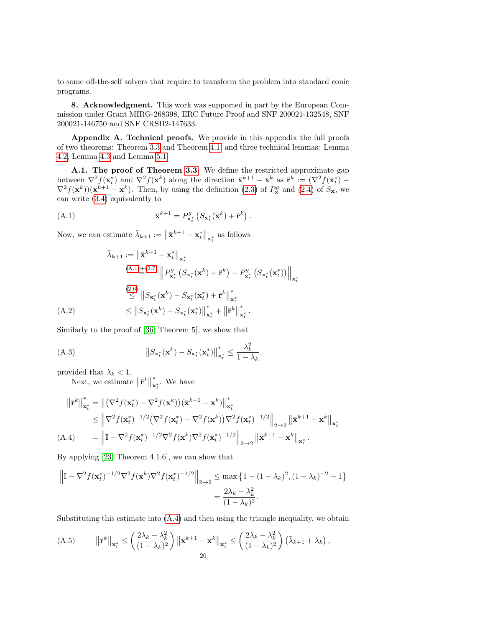to some off-the-self solvers that require to transform the problem into standard conic programs.

8. Acknowledgment. This work was supported in part by the European Commission under Grant MIRG-268398, ERC Future Proof and SNF 200021-132548, SNF 200021-146750 and SNF CRSII2-147633.

Appendix A. Technical proofs. We provide in this appendix the full proofs of two theorems: Theorem [3.3](#page-5-3) and Theorem [4.1,](#page-8-0) and three technical lemmas: Lemma [4.2,](#page-8-3) Lemma [4.3](#page-9-4) and Lemma [5.1.](#page-11-2)

A.1. The proof of Theorem [3.3.](#page-5-3) We define the restricted approximate gap between  $\nabla^2 f(\mathbf{x}_t^*)$  and  $\nabla^2 f(\mathbf{x}^k)$  along the direction  $\bar{\mathbf{x}}^{k+1} - \mathbf{x}^k$  as  $\bar{\mathbf{r}}^k := (\nabla^2 f(\mathbf{x}_t^*) \nabla^2 f(\mathbf{x}^k) (\bar{\mathbf{x}}^{k+1} - \mathbf{x}^k)$ . Then, by using the definition [\(2.3\)](#page-3-2) of  $P_{\mathbf{x}}^g$  and [\(2.4\)](#page-3-3) of  $S_{\mathbf{x}}$ , we can write [\(3.4\)](#page-5-1) equivalently to

.

$$
\mathbf{\bar{x}}^{k+1} = P_{\mathbf{x}_t}^g \left( S_{\mathbf{x}_t^*}(\mathbf{x}^k) + \bar{\mathbf{r}}^k \right)
$$

Now, we can estimate  $\bar{\lambda}_{k+1} := \left\| \bar{\mathbf{x}}^{k+1} - \mathbf{x}_{t}^{*} \right\|_{\mathbf{x}_{t}^{*}}$  as follows

$$
\bar{\lambda}_{k+1} := \left\| \bar{\mathbf{x}}^{k+1} - \mathbf{x}_{t}^{*} \right\|_{\mathbf{x}_{t}^{*}}
$$
\n
$$
\stackrel{(A.1) \pm (2.7)}{=} \left\| P_{\mathbf{x}_{t}^{*}}^{g} \left( S_{\mathbf{x}_{t}^{*}}(\mathbf{x}^{k}) + \bar{\mathbf{r}}^{k} \right) - P_{\mathbf{x}_{t}^{*}}^{g} \left( S_{\mathbf{x}_{t}^{*}}(\mathbf{x}^{*}) \right) \right\|_{\mathbf{x}_{t}^{*}}
$$
\n
$$
\stackrel{(2.6)}{\leq} \left\| S_{\mathbf{x}_{t}^{*}}(\mathbf{x}^{k}) - S_{\mathbf{x}_{t}^{*}}(\mathbf{x}_{t}^{*}) + \bar{\mathbf{r}}^{k} \right\|_{\mathbf{x}_{t}^{*}}^{*}
$$
\n
$$
\leq \left\| S_{\mathbf{x}_{t}^{*}}(\mathbf{x}^{k}) - S_{\mathbf{x}_{t}^{*}}(\mathbf{x}_{t}^{*}) \right\|_{\mathbf{x}_{t}^{*}}^{*} + \left\| \bar{\mathbf{r}}^{k} \right\|_{\mathbf{x}_{t}^{*}}^{*}.
$$

Similarly to the proof of [\[36,](#page-25-7) Theorem 5], we show that

(A.3) 
$$
\left\|S_{\mathbf{x}_t^*}(\mathbf{x}^k) - S_{\mathbf{x}_t^*}(\mathbf{x}_t^*)\right\|_{\mathbf{x}_t^*}^* \leq \frac{\lambda_k^2}{1 - \lambda_k},
$$

provided that  $\lambda_k < 1$ .

Next, we estimate  $\|\bar{\mathbf{r}}^k\|$ ∗  $\mathbf{x}_{t}^*$ . We have

$$
\|\bar{\mathbf{r}}^{k}\|_{\mathbf{x}_{t}^{*}}^{*} = \|(\nabla^{2} f(\mathbf{x}_{t}^{*}) - \nabla^{2} f(\mathbf{x}^{k}))(\bar{\mathbf{x}}^{k+1} - \mathbf{x}^{k})\|_{\mathbf{x}_{t}^{*}}^{*}
$$
\n
$$
\leq \left\|\nabla^{2} f(\mathbf{x}_{t}^{*})^{-1/2}(\nabla^{2} f(\mathbf{x}_{t}^{*}) - \nabla^{2} f(\mathbf{x}^{k}))\nabla^{2} f(\mathbf{x}_{t}^{*})^{-1/2}\right\|_{2 \to 2} \left\|\bar{\mathbf{x}}^{k+1} - \mathbf{x}^{k}\right\|_{\mathbf{x}_{t}^{*}}
$$
\n(A.4) 
$$
= \left\|\mathbb{I} - \nabla^{2} f(\mathbf{x}_{t}^{*})^{-1/2} \nabla^{2} f(\mathbf{x}^{k})\nabla^{2} f(\mathbf{x}_{t}^{*})^{-1/2}\right\|_{2 \to 2} \left\|\bar{\mathbf{x}}^{k+1} - \mathbf{x}^{k}\right\|_{\mathbf{x}_{t}^{*}}.
$$

By applying [\[23,](#page-24-5) Theorem 4.1.6], we can show that

$$
\left\| \mathbb{I} - \nabla^2 f(\mathbf{x}_t^*)^{-1/2} \nabla^2 f(\mathbf{x}^k) \nabla^2 f(\mathbf{x}_t^*)^{-1/2} \right\|_{2 \to 2} \le \max \left\{ 1 - (1 - \lambda_k)^2, (1 - \lambda_k)^{-2} - 1 \right\}
$$
  
= 
$$
\frac{2\lambda_k - \lambda_k^2}{(1 - \lambda_k)^2}.
$$

Substituting this estimate into [\(A.4\)](#page-1-0) and then using the triangle inequality, we obtain

<span id="page-19-0"></span>
$$
(A.5) \t ||\bar{\mathbf{r}}^k||_{\mathbf{x}_t^*} \le \left(\frac{2\lambda_k - \lambda_k^2}{(1 - \lambda_k)^2}\right) \left\|\bar{\mathbf{x}}^{k+1} - \mathbf{x}^k\right\|_{\mathbf{x}_t^*} \le \left(\frac{2\lambda_k - \lambda_k^2}{(1 - \lambda_k)^2}\right) \left(\bar{\lambda}_{k+1} + \lambda_k\right),
$$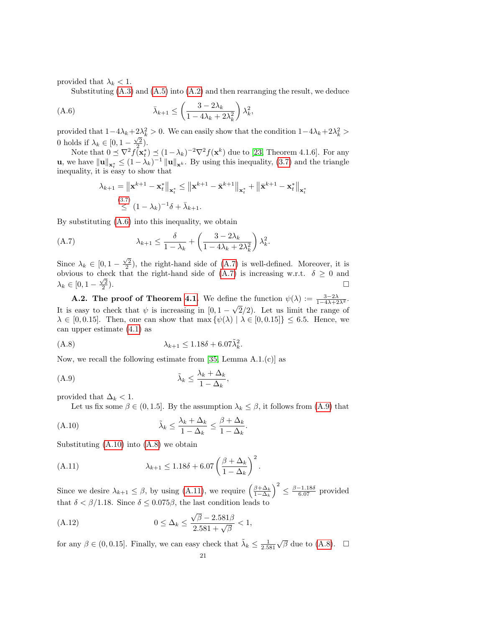provided that  $\lambda_k < 1$ .

<span id="page-20-0"></span>Substituting  $(A.3)$  and  $(A.5)$  into  $(A.2)$  and then rearranging the result, we deduce

(A.6) 
$$
\bar{\lambda}_{k+1} \leq \left(\frac{3-2\lambda_k}{1-4\lambda_k+2\lambda_k^2}\right)\lambda_k^2,
$$

provided that  $1-4\lambda_k+2\lambda_k^2>0$ . We can easily show that the condition  $1-4\lambda_k+2\lambda_k^2>$ 0 holds if  $\lambda_k \in [0, 1 - \frac{\sqrt{2}}{2})$ .

Note that  $0 \leq \nabla^2 f(\mathbf{x}_t^*) \leq (1 - \lambda_k)^{-2} \nabla^2 f(\mathbf{x}^k)$  due to [\[23,](#page-24-5) Theorem 4.1.6]. For any **u**, we have  $||\mathbf{u}||_{\mathbf{x}_t^*} \leq (1 - \lambda_k)^{-1} ||\mathbf{u}||_{\mathbf{x}^k}$ . By using this inequality, [\(3.7\)](#page-5-5) and the triangle inequality, it is easy to show that

$$
\lambda_{k+1} = \left\| \mathbf{x}^{k+1} - \mathbf{x}_t^* \right\|_{\mathbf{x}_t^*} \le \left\| \mathbf{x}^{k+1} - \bar{\mathbf{x}}^{k+1} \right\|_{\mathbf{x}_t^*} + \left\| \bar{\mathbf{x}}^{k+1} - \mathbf{x}_t^* \right\|_{\mathbf{x}_t^*}
$$
\n
$$
\le (1 - \lambda_k)^{-1} \delta + \bar{\lambda}_{k+1}.
$$

By substituting [\(A.6\)](#page-20-0) into this inequality, we obtain

<span id="page-20-1"></span>(A.7) 
$$
\lambda_{k+1} \leq \frac{\delta}{1 - \lambda_k} + \left(\frac{3 - 2\lambda_k}{1 - 4\lambda_k + 2\lambda_k^2}\right)\lambda_k^2.
$$

Since  $\lambda_k \in [0, 1 - \frac{\sqrt{2}}{2})$ , the right-hand side of [\(A.7\)](#page-20-1) is well-defined. Moreover, it is obvious to check that the right-hand side of  $(A.7)$  is increasing w.r.t.  $\delta \geq 0$  and  $\lambda_k \in [0, 1 - \frac{\sqrt{2}}{2}]$  $\Box$ 

**A.2.** The proof of Theorem [4.1.](#page-8-0) We define the function  $\psi(\lambda) := \frac{3-2\lambda}{1-4\lambda+2\lambda^2}$ . It is easy to check that  $\psi$  is increasing in [0, 1 –  $\sqrt{2}/2$ ). Let us limit the range of  $\lambda \in [0, 0.15]$ . Then, one can show that max  $\{\psi(\lambda) | \lambda \in [0, 0.15] \} \leq 6.5$ . Hence, we can upper estimate [\(4.1\)](#page-7-1) as

$$
\lambda_{k+1} \le 1.18\delta + 6.07\tilde{\lambda}_k^2
$$

Now, we recall the following estimate from [\[35,](#page-25-15) Lemma A.1.(c)] as

<span id="page-20-2"></span>
$$
\tilde{\lambda}_k \le \frac{\lambda_k + \Delta_k}{1 - \Delta_k},
$$

provided that  $\Delta_k < 1$ .

Let us fix some  $\beta \in (0, 1.5]$ . By the assumption  $\lambda_k \leq \beta$ , it follows from  $(A.9)$  that

<span id="page-20-4"></span>.

<span id="page-20-3"></span>.

$$
\tilde{\lambda}_k \le \frac{\lambda_k + \Delta_k}{1 - \Delta_k} \le \frac{\beta + \Delta_k}{1 - \Delta_k}
$$

Substituting [\(A.10\)](#page-20-3) into [\(A.8\)](#page-20-4) we obtain

<span id="page-20-5"></span>(A.11) 
$$
\lambda_{k+1} \leq 1.18\delta + 6.07 \left(\frac{\beta + \Delta_k}{1 - \Delta_k}\right)^2.
$$

Since we desire  $\lambda_{k+1} \leq \beta$ , by using [\(A.11\)](#page-20-5), we require  $\left(\frac{\beta + \Delta_k}{1 - \Delta_k}\right)^2 \leq \frac{\beta - 1.18\delta}{6.07}$  provided that  $\delta < \beta/1.18$ . Since  $\delta \leq 0.075\beta$ , the last condition leads to

(A.12) 
$$
0 \le \Delta_k \le \frac{\sqrt{\beta} - 2.581\beta}{2.581 + \sqrt{\beta}} < 1,
$$

for any  $\beta \in (0, 0.15]$ . Finally, we can easy check that  $\tilde{\lambda}_k \leq \frac{1}{2.581}$  $\sqrt{\beta}$  due to [\(A.8\)](#page-20-4).  $\Box$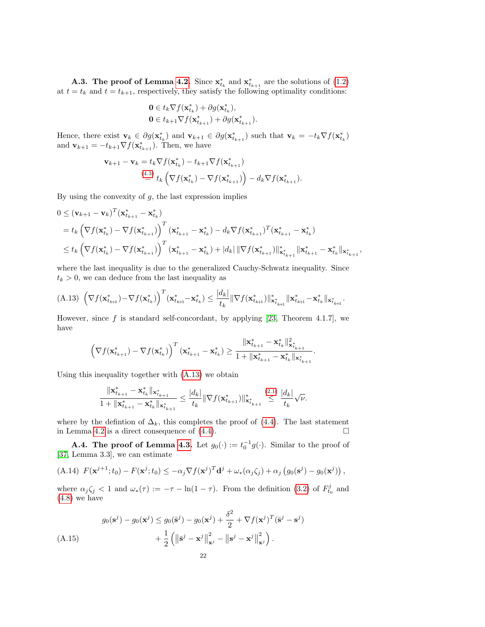**A.3.** The proof of Lemma [4.2.](#page-8-3) Since  $\mathbf{x}_{t_k}^*$  and  $\mathbf{x}_{t_{k+1}}^*$  are the solutions of [\(1.2\)](#page-0-1) at  $t = t_k$  and  $t = t_{k+1}$ , respectively, they satisfy the following optimality conditions:

$$
\begin{aligned} \mathbf{0} &\in t_k \nabla f(\mathbf{x}_{t_k}^*) + \partial g(\mathbf{x}_{t_k}^*), \\ \mathbf{0} &\in t_{k+1} \nabla f(\mathbf{x}_{t_{k+1}}^*) + \partial g(\mathbf{x}_{t_{k+1}}^*). \end{aligned}
$$

Hence, there exist  $\mathbf{v}_k \in \partial g(\mathbf{x}_{t_k}^*)$  and  $\mathbf{v}_{k+1} \in \partial g(\mathbf{x}_{t_{k+1}}^*)$  such that  $\mathbf{v}_k = -t_k \nabla f(\mathbf{x}_{t_k}^*)$ and  $\mathbf{v}_{k+1} = -t_{k+1} \nabla f(\mathbf{x}_{t_{k+1}}^*)$ . Then, we have

$$
\mathbf{v}_{k+1} - \mathbf{v}_k = t_k \nabla f(\mathbf{x}_{t_k}^*) - t_{k+1} \nabla f(\mathbf{x}_{t_{k+1}}^*)
$$
  

$$
\stackrel{(4.3)}{=} t_k \left( \nabla f(\mathbf{x}_{t_k}^*) - \nabla f(\mathbf{x}_{t_{k+1}}^*) \right) - d_k \nabla f(\mathbf{x}_{t_{k+1}}^*).
$$

By using the convexity of  $g$ , the last expression implies

$$
0 \leq (\mathbf{v}_{k+1} - \mathbf{v}_k)^T (\mathbf{x}_{t_{k+1}}^* - \mathbf{x}_{t_k}^*)
$$
  
\n
$$
= t_k \left( \nabla f(\mathbf{x}_{t_k}^*) - \nabla f(\mathbf{x}_{t_{k+1}}^*) \right)^T (\mathbf{x}_{t_{k+1}}^* - \mathbf{x}_{t_k}^*) - d_k \nabla f(\mathbf{x}_{t_{k+1}}^*)^T (\mathbf{x}_{t_{k+1}}^* - \mathbf{x}_{t_k}^*)
$$
  
\n
$$
\leq t_k \left( \nabla f(\mathbf{x}_{t_k}^*) - \nabla f(\mathbf{x}_{t_{k+1}}^*) \right)^T (\mathbf{x}_{t_{k+1}}^* - \mathbf{x}_{t_k}^*) + |d_k| ||\nabla f(\mathbf{x}_{t_{k+1}}^*)||_{\mathbf{x}_{t_{k+1}}^*}^* ||\mathbf{x}_{t_{k+1}}^* - \mathbf{x}_{t_k}^* ||_{\mathbf{x}_{t_{k+1}}^*},
$$

where the last inequality is due to the generalized Cauchy-Schwatz inequality. Since  $t_k > 0$ , we can deduce from the last inequality as

<span id="page-21-0"></span>
$$
(A.13)\ \left(\nabla f(\mathbf{x}_{t_{k+1}}^*) - \nabla f(\mathbf{x}_{t_k}^*)\right)^T (\mathbf{x}_{t_{k+1}}^* - \mathbf{x}_{t_k}^*) \leq \frac{|d_k|}{t_k} \|\nabla f(\mathbf{x}_{t_{k+1}}^*)\|_{\mathbf{x}_{t_{k+1}}^*}^* - \mathbf{x}_{t_k}^* \|_{\mathbf{x}_{t_{k+1}}^*}.
$$

However, since  $f$  is standard self-concordant, by applying [\[23,](#page-24-5) Theorem 4.1.7], we have

$$
\left(\nabla f({\mathbf{x}_{t_{k+1}}^*}) - \nabla f({\mathbf{x}_{t_k}^*})\right)^T ({\mathbf{x}_{t_{k+1}}^*} - {\mathbf{x}_{t_k}^*}) \geq \frac{\|{\mathbf{x}_{t_{k+1}}^*} - {\mathbf{x}_{t_k}^*}\|_{{\mathbf{x}_{t_{k+1}}^*}}^2}{1 + \|{\mathbf{x}_{t_{k+1}}^*} - {\mathbf{x}_{t_k}^*}\|_{{\mathbf{x}_{t_{k+1}}^*}}}.
$$

Using this inequality together with [\(A.13\)](#page-21-0) we obtain

$$
\frac{\|\mathbf{x}^{*}_{t_{k+1}} - \mathbf{x}^{*}_{t_{k}}\|_{\mathbf{x}^{*}_{t_{k+1}}}}{1 + \|\mathbf{x}^{*}_{t_{k+1}} - \mathbf{x}^{*}_{t_{k}}\|_{\mathbf{x}^{*}_{t_{k+1}}}} \leq \frac{|d_{k}|}{t_{k}}\|\nabla f(\mathbf{x}^{*}_{t_{k+1}})\|^{*}_{\mathbf{x}^{*}_{t_{k+1}}}\overset{(2.1)}{\leq} \frac{|d_{k}|}{t_{k}}\sqrt{\nu}.
$$

where by the defintion of  $\Delta_k$ , this completes the proof of [\(4.4\)](#page-8-4). The last statement in Lemma [4.2](#page-8-3) is a direct consequence of  $(4.4)$ .

**A.4. The proof of Lemma [4.3.](#page-9-4)** Let  $g_0(\cdot) := t_0^{-1} g(\cdot)$ . Similar to the proof of [\[37,](#page-25-8) Lemma 3.3], we can estimate

<span id="page-21-2"></span>(A.14) 
$$
F(\mathbf{x}^{j+1}; t_0) - F(\mathbf{x}^j; t_0) \leq -\alpha_j \nabla f(\mathbf{x}^j)^T \mathbf{d}^j + \omega_* (\alpha_j \zeta_j) + \alpha_j (g_0(\mathbf{s}^j) - g_0(\mathbf{x}^j)),
$$

where  $\alpha_j \zeta_j < 1$  and  $\omega_*(\tau) := -\tau - \ln(1 - \tau)$ . From the definition [\(3.2\)](#page-4-2) of  $F_{t_0}^j$  and [\(4.8\)](#page-9-5) we have

<span id="page-21-1"></span>
$$
g_0(\mathbf{s}^j) - g_0(\mathbf{x}^j) \le g_0(\bar{\mathbf{s}}^j) - g_0(\mathbf{x}^j) + \frac{\delta^2}{2} + \nabla f(\mathbf{x}^j)^T (\bar{\mathbf{s}}^j - \mathbf{s}^j)
$$
  
+ 
$$
\frac{1}{2} \left( \left\| \bar{\mathbf{s}}^j - \mathbf{x}^j \right\|_{\mathbf{x}^j}^2 - \left\| \mathbf{s}^j - \mathbf{x}^j \right\|_{\mathbf{x}^j}^2 \right).
$$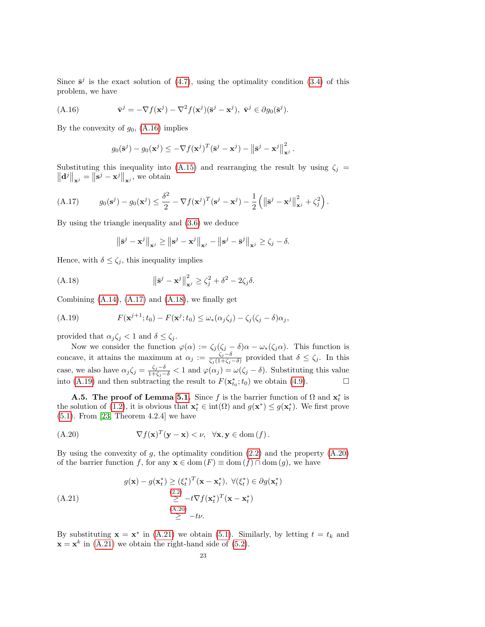Since  $\bar{s}^j$  is the exact solution of [\(4.7\)](#page-9-1), using the optimality condition [\(3.4\)](#page-5-1) of this problem, we have

(A.16) 
$$
\bar{\mathbf{v}}^j = -\nabla f(\mathbf{x}^j) - \nabla^2 f(\mathbf{x}^j)(\bar{\mathbf{s}}^j - \mathbf{x}^j), \ \bar{\mathbf{v}}^j \in \partial g_0(\bar{\mathbf{s}}^j).
$$

By the convexity of  $g_0$ , [\(A.16\)](#page-22-0) implies

<span id="page-22-0"></span>
$$
g_0(\mathbf{\bar{s}}^j) - g_0(\mathbf{x}^j) \leq -\nabla f(\mathbf{x}^j)^T (\mathbf{\bar{s}}^j - \mathbf{x}^j) - ||\mathbf{\bar{s}}^j - \mathbf{x}^j||_{\mathbf{x}^j}^2.
$$

Substituting this inequality into [\(A.15\)](#page-21-1) and rearranging the result by using  $\zeta_j$  $\left\|\mathbf{d}^{j}\right\|_{\mathbf{x}^{j}}=\left\|\mathbf{s}^{j}-\mathbf{x}^{j}\right\|_{\mathbf{x}^{j}},$  we obtain

<span id="page-22-1"></span>(A.17) 
$$
g_0(\mathbf{s}^j) - g_0(\mathbf{x}^j) \leq \frac{\delta^2}{2} - \nabla f(\mathbf{x}^j)^T (\mathbf{s}^j - \mathbf{x}^j) - \frac{1}{2} (||\mathbf{\bar{s}}^j - \mathbf{x}^j||_{\mathbf{x}^j}^2 + \zeta_j^2).
$$

By using the triangle inequality and [\(3.6\)](#page-5-6) we deduce

<span id="page-22-2"></span>
$$
\left\|\bar{\mathbf{s}}^{j}-\mathbf{x}^{j}\right\|_{\mathbf{x}^{j}} \geq \left\|\mathbf{s}^{j}-\mathbf{x}^{j}\right\|_{\mathbf{x}^{j}} - \left\|\mathbf{s}^{j}-\bar{\mathbf{s}}^{j}\right\|_{\mathbf{x}^{j}} \geq \zeta_{j} - \delta.
$$

Hence, with  $\delta \leq \zeta_j$ , this inequality implies

(A.18) 
$$
\|\bar{\mathbf{s}}^j - \mathbf{x}^j\|_{\mathbf{x}^j}^2 \ge \zeta_j^2 + \delta^2 - 2\zeta_j\delta.
$$

Combining  $(A.14)$ ,  $(A.17)$  and  $(A.18)$ , we finally get

<span id="page-22-3"></span>(A.19) 
$$
F(\mathbf{x}^{j+1};t_0) - F(\mathbf{x}^j;t_0) \leq \omega_* (\alpha_j \zeta_j) - \zeta_j (\zeta_j - \delta) \alpha_j,
$$

provided that  $\alpha_j \zeta_j < 1$  and  $\delta \leq \zeta_j$ .

Now we consider the function  $\varphi(\alpha) := \zeta_j(\zeta_j - \delta)\alpha - \omega_*(\zeta_j \alpha)$ . This function is concave, it attains the maximum at  $\alpha_j := \frac{\zeta_j - \delta}{\zeta_j(1 + \zeta_j)}$  $\frac{\zeta_j - \delta}{\zeta_j(1 + \zeta_j - \delta)}$  provided that  $\delta \leq \zeta_j$ . In this case, we also have  $\alpha_j \zeta_j = \frac{\zeta_j - \delta}{1 + \zeta_j - \delta} < 1$  and  $\varphi(\alpha_j) = \omega(\zeta_j - \delta)$ . Substituting this value into [\(A.19\)](#page-22-3) and then subtracting the result to  $F(\mathbf{x}_{t_0}^*; t_0)$  we obtain [\(4.9\)](#page-9-3).

**A.5.** The proof of Lemma [5.1.](#page-11-2) Since f is the barrier function of  $\Omega$  and  $\mathbf{x}_t^*$  is the solution of [\(1.2\)](#page-0-1), it is obvious that  $\mathbf{x}_t^* \in \text{int}(\Omega)$  and  $g(\mathbf{x}^*) \leq g(\mathbf{x}_t^*)$ . We first prove [\(5.1\)](#page-11-1). From [\[23,](#page-24-5) Theorem 4.2.4] we have

<span id="page-22-4"></span>
$$
(\text{A.20}) \qquad \nabla f(\mathbf{x})^T (\mathbf{y} - \mathbf{x}) < \nu, \quad \forall \mathbf{x}, \mathbf{y} \in \text{dom}(f) \, .
$$

By using the convexity of  $g$ , the optimality condition  $(2.2)$  and the property  $(A.20)$ of the barrier function f, for any  $\mathbf{x} \in \text{dom}(F) \equiv \text{dom}(f) \cap \text{dom}(g)$ , we have

)

<span id="page-22-5"></span>
$$
g(\mathbf{x}) - g(\mathbf{x}_t^*) \ge (\xi_t^*)^T (\mathbf{x} - \mathbf{x}_t^*), \ \forall (\xi_t^*) \in \partial g(\mathbf{x}_t^*)
$$
  
\n(4.21)  
\n
$$
\geq -t \nabla f(\mathbf{x}_t^*)^T (\mathbf{x} - \mathbf{x}_t^*)
$$
  
\n
$$
\geq -t \nu.
$$

By substituting  $\mathbf{x} = \mathbf{x}^*$  in [\(A.21\)](#page-22-5) we obtain [\(5.1\)](#page-11-1). Similarly, by letting  $t = t_k$  and  $\mathbf{x} = \mathbf{x}^k$  in [\(A.21\)](#page-22-5) we obtain the right-hand side of [\(5.2\)](#page-11-4).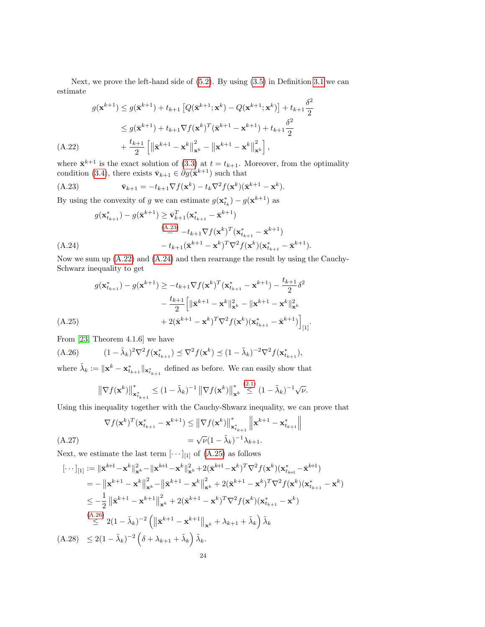Next, we prove the left-hand side of [\(5.2\)](#page-11-4). By using [\(3.5\)](#page-5-4) in Definition [3.1](#page-5-0) we can estimate

$$
g(\mathbf{x}^{k+1}) \le g(\bar{\mathbf{x}}^{k+1}) + t_{k+1} \left[ Q(\bar{\mathbf{x}}^{k+1}; \mathbf{x}^k) - Q(\mathbf{x}^{k+1}; \mathbf{x}^k) \right] + t_{k+1} \frac{\delta^2}{2}
$$
  
\n
$$
\le g(\bar{\mathbf{x}}^{k+1}) + t_{k+1} \nabla f(\mathbf{x}^k)^T (\bar{\mathbf{x}}^{k+1} - \mathbf{x}^{k+1}) + t_{k+1} \frac{\delta^2}{2}
$$
  
\n(A.22) +  $\frac{t_{k+1}}{2} \left[ \left\| \bar{\mathbf{x}}^{k+1} - \mathbf{x}^k \right\|_{\mathbf{x}^k}^2 - \left\| \mathbf{x}^{k+1} - \mathbf{x}^k \right\|_{\mathbf{x}^k}^2 \right],$ 

<span id="page-23-1"></span>where  $\bar{\mathbf{x}}^{k+1}$  is the exact solution of [\(3.3\)](#page-4-3) at  $t = t_{k+1}$ . Moreover, from the optimality condition [\(3.4\)](#page-5-1), there exists  $\bar{\mathbf{v}}_{k+1} \in \partial g(\bar{\mathbf{x}}^{k+1})$  such that

<span id="page-23-0"></span>
$$
\bar{\mathbf{v}}_{k+1} = -t_{k+1} \nabla f(\mathbf{x}^k) - t_k \nabla^2 f(\mathbf{x}^k) (\bar{\mathbf{x}}^{k+1} - \mathbf{x}^k).
$$

By using the convexity of g we can estimate  $g(\mathbf{x}_{t_k}^*) - g(\mathbf{x}^{k+1})$  as

$$
g(\mathbf{x}_{t_{k+1}}^*) - g(\bar{\mathbf{x}}^{k+1}) \ge \bar{\mathbf{v}}_{k+1}^T(\mathbf{x}_{t_{k+1}}^* - \bar{\mathbf{x}}^{k+1})
$$
  
\n
$$
\stackrel{\text{(A.23)}}{=} -t_{k+1} \nabla f(\mathbf{x}^k)^T(\mathbf{x}_{t_{k+1}}^* - \bar{\mathbf{x}}^{k+1})
$$
\n
$$
-t_{k+1}(\bar{\mathbf{x}}^{k+1} - \mathbf{x}^k)^T \nabla^2 f(\mathbf{x}^k)(\mathbf{x}_{t_{k+1}}^* - \bar{\mathbf{x}}^{k+1}).
$$

<span id="page-23-2"></span>Now we sum up [\(A.22\)](#page-23-1) and [\(A.24\)](#page-23-2) and then rearrange the result by using the Cauchy-Schwarz inequality to get

$$
g(\mathbf{x}_{t_{k+1}}^*) - g(\mathbf{x}^{k+1}) \ge -t_{k+1} \nabla f(\mathbf{x}^k)^T (\mathbf{x}_{t_{k+1}}^* - \mathbf{x}^{k+1}) - \frac{t_{k+1}}{2} \delta^2 - \frac{t_{k+1}}{2} \left[ \|\bar{\mathbf{x}}^{k+1} - \mathbf{x}^k\|_{\mathbf{x}^k}^2 - \|\mathbf{x}^{k+1} - \mathbf{x}^k\|_{\mathbf{x}^k}^2 \right. + 2(\bar{\mathbf{x}}^{k+1} - \mathbf{x}^k)^T \nabla^2 f(\mathbf{x}^k) (\mathbf{x}_{t_{k+1}}^* - \bar{\mathbf{x}}^{k+1}) \Big]_{[1]}.
$$

<span id="page-23-3"></span>From [\[23,](#page-24-5) Theorem 4.1.6] we have

$$
(A.26) \qquad (1 - \tilde{\lambda}_k)^2 \nabla^2 f(\mathbf{x}_{t_{k+1}}^*) \preceq \nabla^2 f(\mathbf{x}^k) \preceq (1 - \tilde{\lambda}_k)^{-2} \nabla^2 f(\mathbf{x}_{t_{k+1}}^*),
$$

where  $\tilde{\lambda}_k := ||\mathbf{x}^k - \mathbf{x}^*_{t_{k+1}}||_{\mathbf{x}^*_{t_{k+1}}}$  defined as before. We can easily show that

<span id="page-23-4"></span>
$$
\left\|\nabla f(\mathbf{x}^k)\right\|_{\mathbf{x}_{t_{k+1}}^*}^* \leq (1-\tilde{\lambda}_k)^{-1} \left\|\nabla f(\mathbf{x}^k)\right\|_{\mathbf{x}^k}^* \stackrel{(2.1)}{\leq} (1-\tilde{\lambda}_k)^{-1} \sqrt{\nu}.
$$

Using this inequality together with the Cauchy-Shwarz inequality, we can prove that

$$
\nabla f(\mathbf{x}^k)^T (\mathbf{x}_{t_{k+1}}^* - \mathbf{x}^{k+1}) \leq \left\| \nabla f(\mathbf{x}^k) \right\|_{\mathbf{x}_{t_{k+1}}^*}^* \left\| \mathbf{x}^{k+1} - \mathbf{x}_{t_{k+1}}^* \right\|
$$
\n
$$
= \sqrt{\nu} (1 - \tilde{\lambda}_k)^{-1} \lambda_{k+1}.
$$
\n(A.27)

Next, we estimate the last term  $[\cdots]_{[1]}$  of [\(A.25\)](#page-23-3) as follows

<span id="page-23-5"></span>
$$
\begin{split}\n\left[\cdots\right]_{[1]} &:= \|\bar{\mathbf{x}}^{k+1} - \mathbf{x}^{k}\|_{\mathbf{x}^{k}}^{2} - \|\mathbf{x}^{k+1} - \mathbf{x}^{k}\|_{\mathbf{x}^{k}}^{2} + 2(\bar{\mathbf{x}}^{k+1} - \mathbf{x}^{k})^{T}\nabla^{2}f(\mathbf{x}^{k})(\mathbf{x}_{t_{k+1}}^{*} - \bar{\mathbf{x}}^{k+1}) \\
&= -\left\|\mathbf{x}^{k+1} - \mathbf{x}^{k}\right\|_{\mathbf{x}^{k}}^{2} - \left\|\bar{\mathbf{x}}^{k+1} - \mathbf{x}^{k}\right\|_{\mathbf{x}^{k}}^{2} + 2(\bar{\mathbf{x}}^{k+1} - \mathbf{x}^{k})^{T}\nabla^{2}f(\mathbf{x}^{k})(\mathbf{x}_{t_{k+1}}^{*} - \mathbf{x}^{k}) \\
&\leq -\frac{1}{2}\left\|\bar{\mathbf{x}}^{k+1} - \mathbf{x}^{k+1}\right\|_{\mathbf{x}^{k}}^{2} + 2(\bar{\mathbf{x}}^{k+1} - \mathbf{x}^{k})^{T}\nabla^{2}f(\mathbf{x}^{k})(\mathbf{x}_{t_{k+1}}^{*} - \mathbf{x}^{k}) \\
&\stackrel{(A.26)}{\leq} 2(1 - \tilde{\lambda}_{k})^{-2}\left(\left\|\bar{\mathbf{x}}^{k+1} - \mathbf{x}^{k+1}\right\|_{\mathbf{x}^{k}} + \lambda_{k+1} + \tilde{\lambda}_{k}\right)\tilde{\lambda}_{k} \\
&\quad(A.28) \leq 2(1 - \tilde{\lambda}_{k})^{-2}\left(\delta + \lambda_{k+1} + \tilde{\lambda}_{k}\right)\tilde{\lambda}_{k}.\n\end{split}
$$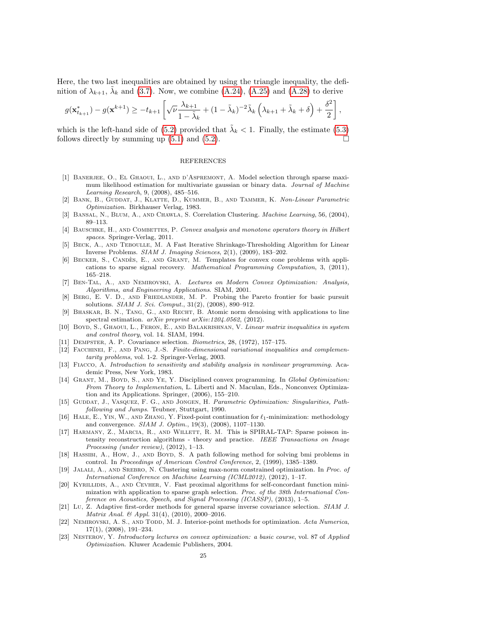Here, the two last inequalities are obtained by using the triangle inequality, the definition of  $\lambda_{k+1}$ ,  $\tilde{\lambda}_k$  and [\(3.7\)](#page-5-5). Now, we combine [\(A.24\)](#page-23-2), [\(A.25\)](#page-23-3) and [\(A.28\)](#page-23-5) to derive

$$
g(\mathbf{x}_{t_{k+1}}^*) - g(\mathbf{x}^{k+1}) \ge -t_{k+1} \left[ \sqrt{\nu} \frac{\lambda_{k+1}}{1 - \tilde{\lambda}_k} + (1 - \tilde{\lambda}_k)^{-2} \tilde{\lambda}_k \left( \lambda_{k+1} + \tilde{\lambda}_k + \delta \right) + \frac{\delta^2}{2} \right],
$$

which is the left-hand side of [\(5.2\)](#page-11-4) provided that  $\tilde{\lambda}_k < 1$ . Finally, the estimate [\(5.3\)](#page-11-3) follows directly by summing up  $(5.1)$  and  $(5.2)$ .

#### REFERENCES

- <span id="page-24-20"></span>[1] Banerjee, O., El Ghaoui, L., and d'Aspremont, A. Model selection through sparse maximum likelihood estimation for multivariate gaussian or binary data. Journal of Machine Learning Research, 9, (2008), 485–516.
- [2] Bank, B., Guddat, J., Klatte, D., Kummer, B., and Tammer, K. Non-Linear Parametric Optimization. Birkhauser Verlag, 1983.
- <span id="page-24-16"></span>[3] BANSAL, N., BLUM, A., AND CHAWLA, S. Correlation Clustering. *Machine Learning*, 56, (2004), 89–113.
- <span id="page-24-9"></span>[4] BAUSCHKE, H., AND COMBETTES, P. Convex analysis and monotone operators theory in Hilbert spaces. Springer-Verlag, 2011.
- <span id="page-24-10"></span>[5] Beck, A., and Teboulle, M. A Fast Iterative Shrinkage-Thresholding Algorithm for Linear Inverse Problems. SIAM J. Imaging Sciences, 2(1), (2009), 183–202.
- <span id="page-24-11"></span>[6] BECKER, S., CANDÈS, E., AND GRANT, M. Templates for convex cone problems with applications to sparse signal recovery. Mathematical Programming Computation, 3, (2011), 165–218.
- <span id="page-24-3"></span>[7] Ben-Tal, A., and Nemirovski, A. Lectures on Modern Convex Optimization: Analysis, Algorithms, and Engineering Applications. SIAM, 2001.
- [8] Berg, E. V. D., and Friedlander, M. P. Probing the Pareto frontier for basic pursuit solutions. SIAM J. Sci. Comput., 31(2), (2008), 890–912.
- <span id="page-24-7"></span>[9] Bhaskar, B. N., Tang, G., and Recht, B. Atomic norm denoising with applications to line spectral estimation. arXiv preprint arXiv:1204.0562, (2012).
- <span id="page-24-0"></span>[10] BOYD, S., GHAOUI, L., FERON, E., AND BALAKRISHNAN, V. Linear matrix inequalities in system and control theory, vol. 14. SIAM, 1994.
- <span id="page-24-18"></span>[11] Dempster, A. P. Covariance selection. Biometrics, 28, (1972), 157–175.
- <span id="page-24-13"></span>[12] Facchinei, F., and Pang, J.-S. Finite-dimensional variational inequalities and complementarity problems, vol. 1-2. Springer-Verlag, 2003.
- <span id="page-24-14"></span>[13] FIACCO, A. Introduction to sensitivity and stability analysis in nonlinear programming. Academic Press, New York, 1983.
- <span id="page-24-8"></span>[14] GRANT, M., BOYD, S., AND YE, Y. Disciplined convex programming. In Global Optimization: From Theory to Implementation, L. Liberti and N. Maculan, Eds., Nonconvex Optimization and its Applications. Springer, (2006), 155–210.
- <span id="page-24-15"></span>[15] GUDDAT, J., VASQUEZ, F. G., AND JONGEN, H. Parametric Optimization: Singularities, Pathfollowing and Jumps. Teubner, Stuttgart, 1990.
- <span id="page-24-12"></span>[16] HALE, E., YIN, W., AND ZHANG, Y. Fixed-point continuation for  $\ell_1$ -minimization: methodology and convergence. SIAM J. Optim., 19(3), (2008), 1107–1130.
- <span id="page-24-1"></span>[17] HARMANY, Z., MARCIA, R., AND WILLETT, R. M. This is SPIRAL-TAP: Sparse poisson intensity reconstruction algorithms - theory and practice. IEEE Transactions on Image Processing (under review), (2012), 1–13.
- <span id="page-24-2"></span>[18] HASSIBI, A., How, J., AND BOYD, S. A path following method for solving bmi problems in control. In Proceedings of American Control Conference, 2, (1999), 1385–1389.
- <span id="page-24-6"></span>[19] Jalali, A., and Srebro, N. Clustering using max-norm constrained optimization. In Proc. of International Conference on Machine Learning (ICML2012), (2012), 1–17.
- <span id="page-24-17"></span>[20] KYRILLIDIS, A., AND CEVHER, V. Fast proximal algorithms for self-concordant function minimization with application to sparse graph selection. Proc. of the 38th International Conference on Acoustics, Speech, and Signal Processing (ICASSP), (2013), 1–5.
- <span id="page-24-19"></span>[21] Lu, Z. Adaptive first-order methods for general sparse inverse covariance selection. SIAM J. Matrix Anal. & Appl. 31(4), (2010), 2000–2016.
- <span id="page-24-4"></span>[22] NEMIROVSKI, A. S., AND TODD, M. J. Interior-point methods for optimization. Acta Numerica, 17(1), (2008), 191–234.
- <span id="page-24-5"></span>[23] Nesterov, Y. Introductory lectures on convex optimization: a basic course, vol. 87 of Applied Optimization. Kluwer Academic Publishers, 2004.